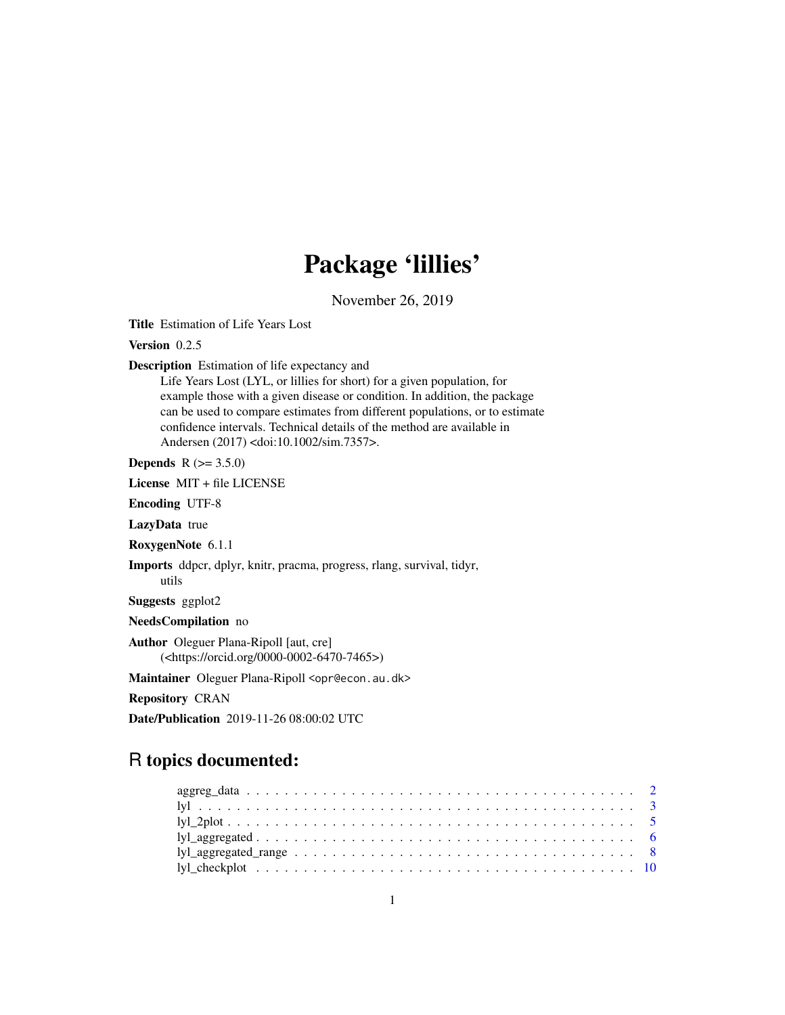# Package 'lillies'

November 26, 2019

<span id="page-0-0"></span>Title Estimation of Life Years Lost

Version 0.2.5

Description Estimation of life expectancy and

Life Years Lost (LYL, or lillies for short) for a given population, for example those with a given disease or condition. In addition, the package can be used to compare estimates from different populations, or to estimate confidence intervals. Technical details of the method are available in Andersen (2017) <doi:10.1002/sim.7357>.

**Depends**  $R (= 3.5.0)$ 

License MIT + file LICENSE

Encoding UTF-8

LazyData true

RoxygenNote 6.1.1

Imports ddpcr, dplyr, knitr, pracma, progress, rlang, survival, tidyr, utils

Suggests ggplot2

NeedsCompilation no

Author Oleguer Plana-Ripoll [aut, cre] (<https://orcid.org/0000-0002-6470-7465>)

Maintainer Oleguer Plana-Ripoll <opr@econ.au.dk>

Repository CRAN

Date/Publication 2019-11-26 08:00:02 UTC

# R topics documented: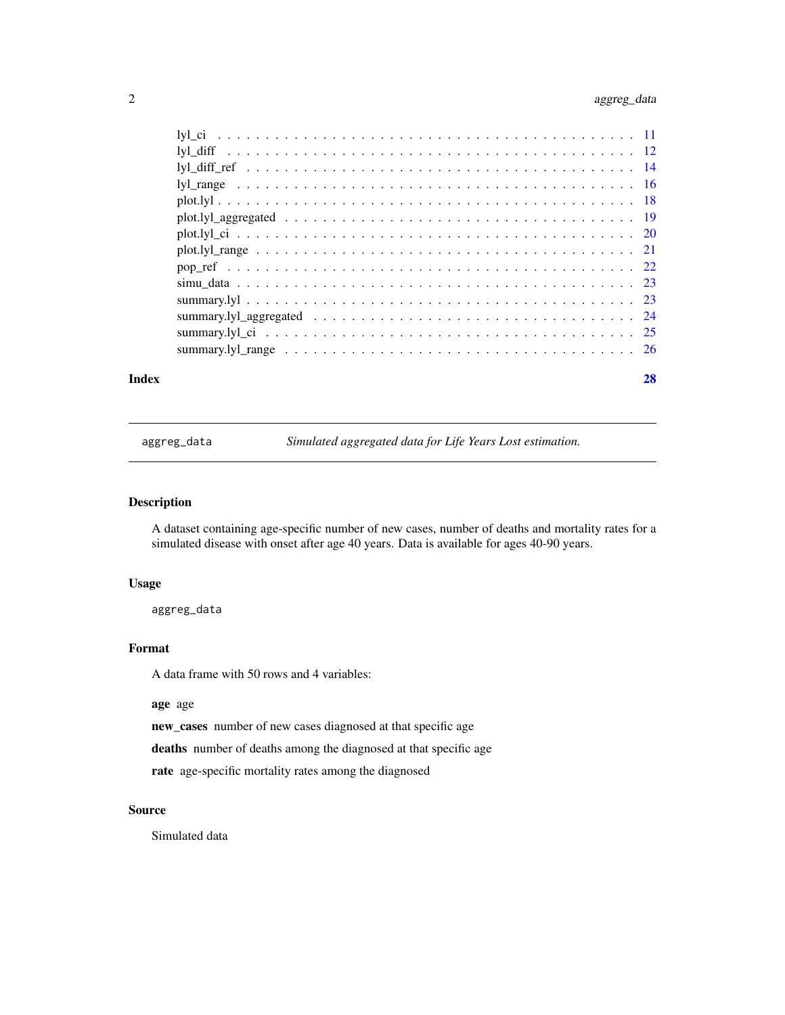# <span id="page-1-0"></span>2 aggreg\_data

|  | 28 |
|--|----|
|  |    |

aggreg\_data *Simulated aggregated data for Life Years Lost estimation.*

# Description

A dataset containing age-specific number of new cases, number of deaths and mortality rates for a simulated disease with onset after age 40 years. Data is available for ages 40-90 years.

#### Usage

aggreg\_data

# Format

A data frame with 50 rows and 4 variables:

age age

new\_cases number of new cases diagnosed at that specific age

deaths number of deaths among the diagnosed at that specific age

rate age-specific mortality rates among the diagnosed

# Source

Simulated data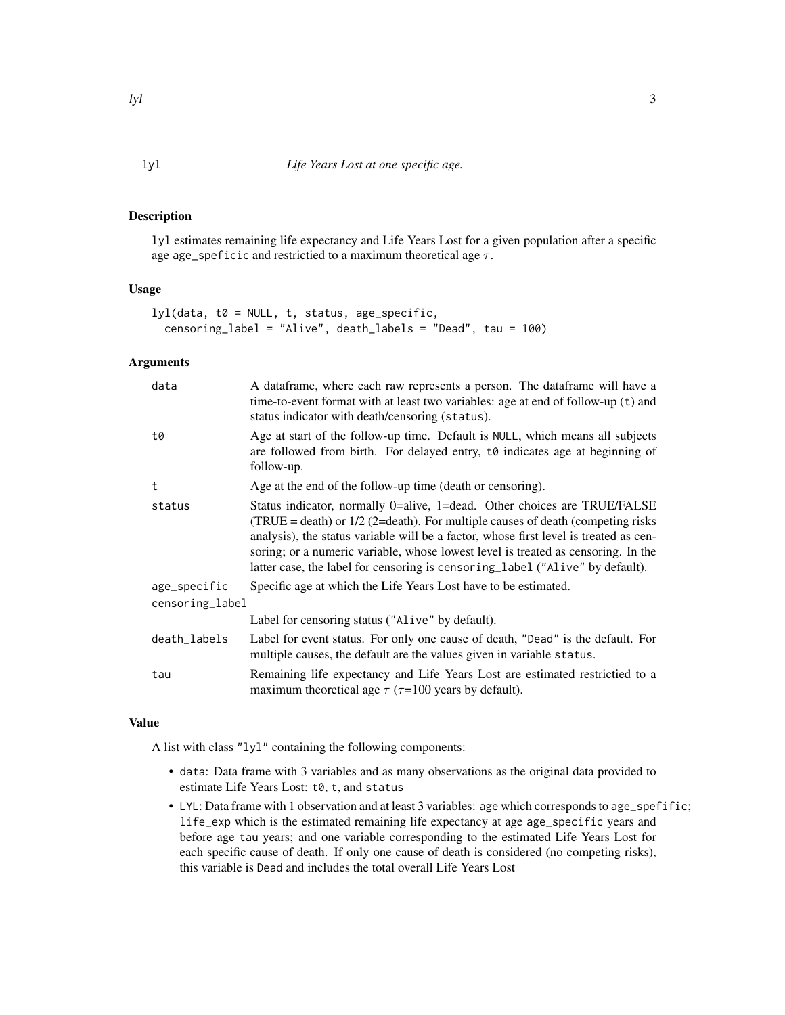#### <span id="page-2-1"></span><span id="page-2-0"></span>**Description**

lyl estimates remaining life expectancy and Life Years Lost for a given population after a specific age age\_speficic and restrictied to a maximum theoretical age  $\tau$ .

# Usage

```
lyl(data, t0 = NULL, t, status, age_specific,
  censoring_label = "Alive", death_labels = "Dead", tau = 100)
```
#### Arguments

| data            | A dataframe, where each raw represents a person. The dataframe will have a<br>time-to-event format with at least two variables: age at end of follow-up (t) and<br>status indicator with death/censoring (status).                                                                                                                                                                                                          |
|-----------------|-----------------------------------------------------------------------------------------------------------------------------------------------------------------------------------------------------------------------------------------------------------------------------------------------------------------------------------------------------------------------------------------------------------------------------|
| t0              | Age at start of the follow-up time. Default is NULL, which means all subjects<br>are followed from birth. For delayed entry, to indicates age at beginning of<br>follow-up.                                                                                                                                                                                                                                                 |
| t               | Age at the end of the follow-up time (death or censoring).                                                                                                                                                                                                                                                                                                                                                                  |
| status          | Status indicator, normally 0=alive, 1=dead. Other choices are TRUE/FALSE<br>(TRUE = death) or $1/2$ (2=death). For multiple causes of death (competing risks<br>analysis), the status variable will be a factor, whose first level is treated as cen-<br>soring; or a numeric variable, whose lowest level is treated as censoring. In the<br>latter case, the label for censoring is censoring_label ("Alive" by default). |
| age_specific    | Specific age at which the Life Years Lost have to be estimated.                                                                                                                                                                                                                                                                                                                                                             |
| censoring_label |                                                                                                                                                                                                                                                                                                                                                                                                                             |
|                 | Label for censoring status ("Alive" by default).                                                                                                                                                                                                                                                                                                                                                                            |
| death_labels    | Label for event status. For only one cause of death, "Dead" is the default. For<br>multiple causes, the default are the values given in variable status.                                                                                                                                                                                                                                                                    |
| tau             | Remaining life expectancy and Life Years Lost are estimated restrictied to a<br>maximum theoretical age $\tau$ ( $\tau$ =100 years by default).                                                                                                                                                                                                                                                                             |

#### Value

A list with class "lyl" containing the following components:

- data: Data frame with 3 variables and as many observations as the original data provided to estimate Life Years Lost: t0, t, and status
- LYL: Data frame with 1 observation and at least 3 variables: age which corresponds to age\_spefific; life\_exp which is the estimated remaining life expectancy at age age\_specific years and before age tau years; and one variable corresponding to the estimated Life Years Lost for each specific cause of death. If only one cause of death is considered (no competing risks), this variable is Dead and includes the total overall Life Years Lost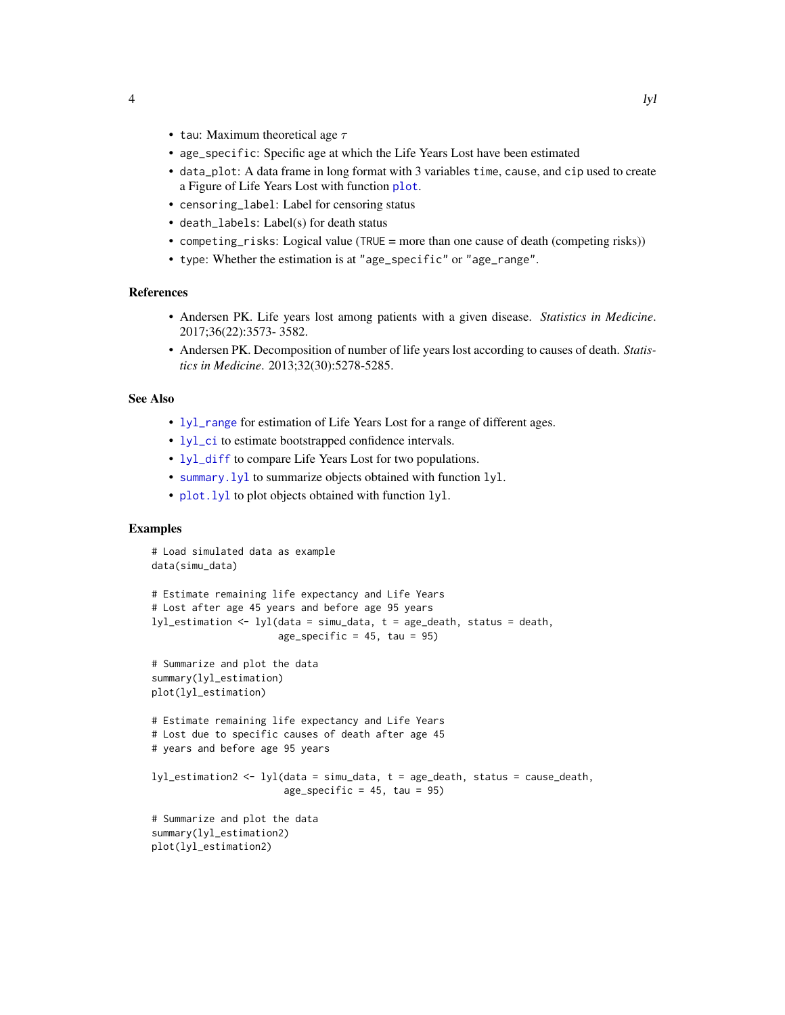- <span id="page-3-0"></span>• tau: Maximum theoretical age  $\tau$
- age\_specific: Specific age at which the Life Years Lost have been estimated
- data\_plot: A data frame in long format with 3 variables time, cause, and cip used to create a Figure of Life Years Lost with function [plot](#page-0-0).
- censoring\_label: Label for censoring status
- death\_labels: Label(s) for death status
- competing\_risks: Logical value (TRUE = more than one cause of death (competing risks))
- type: Whether the estimation is at "age\_specific" or "age\_range".

#### References

- Andersen PK. Life years lost among patients with a given disease. *Statistics in Medicine*. 2017;36(22):3573- 3582.
- Andersen PK. Decomposition of number of life years lost according to causes of death. *Statistics in Medicine*. 2013;32(30):5278-5285.

#### See Also

- [lyl\\_range](#page-15-1) for estimation of Life Years Lost for a range of different ages.
- [lyl\\_ci](#page-10-1) to estimate bootstrapped confidence intervals.
- [lyl\\_diff](#page-11-1) to compare Life Years Lost for two populations.
- [summary.lyl](#page-22-1) to summarize objects obtained with function lyl.
- plot. lyl to plot objects obtained with function lyl.

```
# Load simulated data as example
data(simu_data)
# Estimate remaining life expectancy and Life Years
# Lost after age 45 years and before age 95 years
lyl_estimation \leftarrow lyl(data = sim_ldata, t = age_death, status = death,age_specific = 45, tau = 95)
# Summarize and plot the data
summary(lyl_estimation)
plot(lyl_estimation)
# Estimate remaining life expectancy and Life Years
# Lost due to specific causes of death after age 45
# years and before age 95 years
lyl_estimation2 <- lyl(data = simu_data, t = age_death, status = cause_death,
                       age_specific = 45, tau = 95)
# Summarize and plot the data
summary(lyl_estimation2)
plot(lyl_estimation2)
```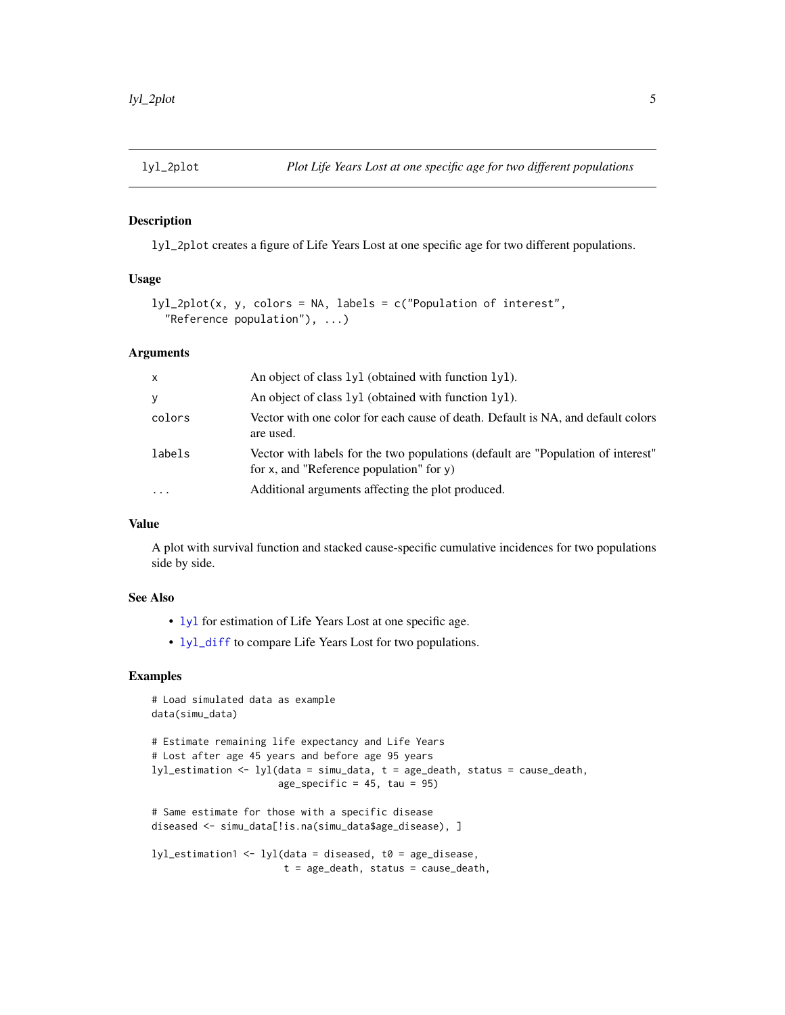<span id="page-4-0"></span>

#### Description

lyl\_2plot creates a figure of Life Years Lost at one specific age for two different populations.

# Usage

```
lyl_2plot(x, y, colors = NA, labels = c("Population of interest",
  "Reference population"), ...)
```
# Arguments

| $\mathsf{x}$ | An object of class 1y1 (obtained with function 1y1).                                                                            |
|--------------|---------------------------------------------------------------------------------------------------------------------------------|
| y            | An object of class $1y1$ (obtained with function $1y1$ ).                                                                       |
| colors       | Vector with one color for each cause of death. Default is NA, and default colors<br>are used.                                   |
| labels       | Vector with labels for the two populations (default are "Population of interest"<br>for x, and "Reference population" for $y$ ) |
| $\ddotsc$    | Additional arguments affecting the plot produced.                                                                               |

### Value

A plot with survival function and stacked cause-specific cumulative incidences for two populations side by side.

#### See Also

- [lyl](#page-2-1) for estimation of Life Years Lost at one specific age.
- [lyl\\_diff](#page-11-1) to compare Life Years Lost for two populations.

```
# Load simulated data as example
data(simu_data)
# Estimate remaining life expectancy and Life Years
# Lost after age 45 years and before age 95 years
lyl_estimation <- lyl(data = simu_data, t = age_death, status = cause_death,
                      age\_specific = 45, tau = 95)
# Same estimate for those with a specific disease
diseased <- simu_data[!is.na(simu_data$age_disease), ]
lyl_estimation1 <- lyl(data = diseased, t0 = age_disease,
                       t = age_death, status = cause_death,
```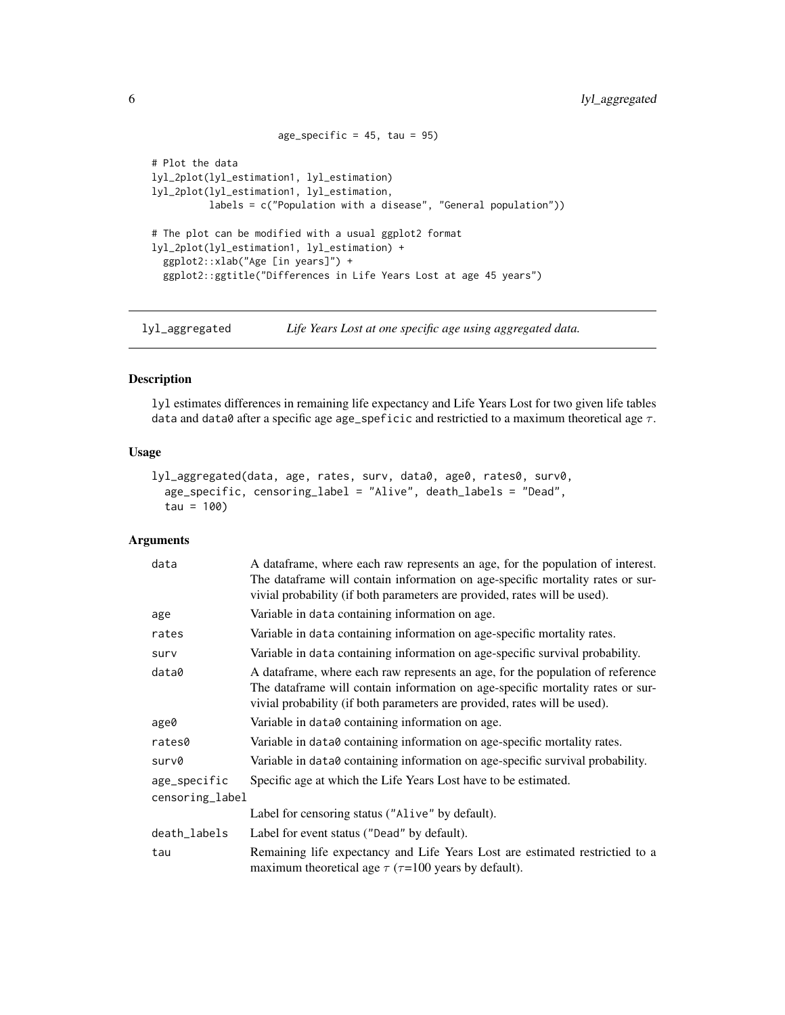```
age_specific = 45, tau = 95)
# Plot the data
lyl_2plot(lyl_estimation1, lyl_estimation)
lyl_2plot(lyl_estimation1, lyl_estimation,
          labels = c("Population with a disease", "General population"))
# The plot can be modified with a usual ggplot2 format
lyl_2plot(lyl_estimation1, lyl_estimation) +
  ggplot2::xlab("Age [in years]") +
  ggplot2::ggtitle("Differences in Life Years Lost at age 45 years")
```
<span id="page-5-1"></span>lyl\_aggregated *Life Years Lost at one specific age using aggregated data.*

#### Description

lyl estimates differences in remaining life expectancy and Life Years Lost for two given life tables data and data0 after a specific age age\_speficic and restrictied to a maximum theoretical age  $\tau$ .

#### Usage

```
lyl_aggregated(data, age, rates, surv, data0, age0, rates0, surv0,
  age_specific, censoring_label = "Alive", death_labels = "Dead",
  tau = 100
```
# Arguments

| data                            | A dataframe, where each raw represents an age, for the population of interest.<br>The dataframe will contain information on age-specific mortality rates or sur-<br>vivial probability (if both parameters are provided, rates will be used). |
|---------------------------------|-----------------------------------------------------------------------------------------------------------------------------------------------------------------------------------------------------------------------------------------------|
| age                             | Variable in data containing information on age.                                                                                                                                                                                               |
| rates                           | Variable in data containing information on age-specific mortality rates.                                                                                                                                                                      |
| surv                            | Variable in data containing information on age-specific survival probability.                                                                                                                                                                 |
| data0                           | A dataframe, where each raw represents an age, for the population of reference<br>The dataframe will contain information on age-specific mortality rates or sur-<br>vivial probability (if both parameters are provided, rates will be used). |
| age0                            | Variable in data0 containing information on age.                                                                                                                                                                                              |
| rates0                          | Variable in data0 containing information on age-specific mortality rates.                                                                                                                                                                     |
| surv0                           | Variable in data0 containing information on age-specific survival probability.                                                                                                                                                                |
| age_specific<br>censoring_label | Specific age at which the Life Years Lost have to be estimated.                                                                                                                                                                               |
|                                 | Label for censoring status ("Alive" by default).                                                                                                                                                                                              |
| death_labels                    | Label for event status ("Dead" by default).                                                                                                                                                                                                   |
| tau                             | Remaining life expectancy and Life Years Lost are estimated restrictied to a<br>maximum theoretical age $\tau$ ( $\tau$ =100 years by default).                                                                                               |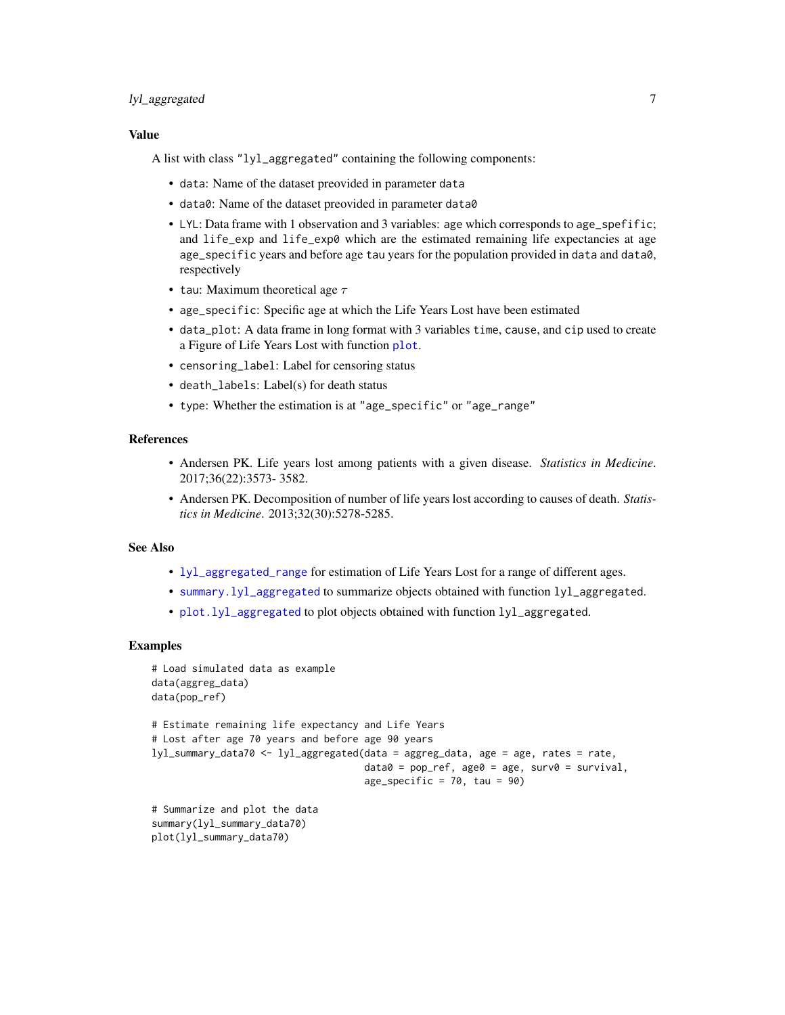# <span id="page-6-0"></span>lyl\_aggregated 7

### Value

A list with class "lyl\_aggregated" containing the following components:

- data: Name of the dataset preovided in parameter data
- data0: Name of the dataset preovided in parameter data0
- LYL: Data frame with 1 observation and 3 variables: age which corresponds to age\_spefific; and life\_exp and life\_exp0 which are the estimated remaining life expectancies at age age\_specific years and before age tau years for the population provided in data and data0, respectively
- tau: Maximum theoretical age  $\tau$
- age\_specific: Specific age at which the Life Years Lost have been estimated
- data\_plot: A data frame in long format with 3 variables time, cause, and cip used to create a Figure of Life Years Lost with function [plot](#page-0-0).
- censoring\_label: Label for censoring status
- death\_labels: Label(s) for death status
- type: Whether the estimation is at "age\_specific" or "age\_range"

#### References

- Andersen PK. Life years lost among patients with a given disease. *Statistics in Medicine*. 2017;36(22):3573- 3582.
- Andersen PK. Decomposition of number of life years lost according to causes of death. *Statistics in Medicine*. 2013;32(30):5278-5285.

#### See Also

- [lyl\\_aggregated\\_range](#page-7-1) for estimation of Life Years Lost for a range of different ages.
- [summary.lyl\\_aggregated](#page-23-1) to summarize objects obtained with function lyl\_aggregated.
- [plot.lyl\\_aggregated](#page-18-1) to plot objects obtained with function lyl\_aggregated.

```
# Load simulated data as example
data(aggreg_data)
data(pop_ref)
# Estimate remaining life expectancy and Life Years
# Lost after age 70 years and before age 90 years
lyl_summary_data70 <- lyl_aggregated(data = aggreg_data, age = age, rates = rate,
                                     data0 = pop_ref, age0 = age, surv0 = survival,
                                     age\_specific = 70, tau = 90# Summarize and plot the data
summary(lyl_summary_data70)
```

```
plot(lyl_summary_data70)
```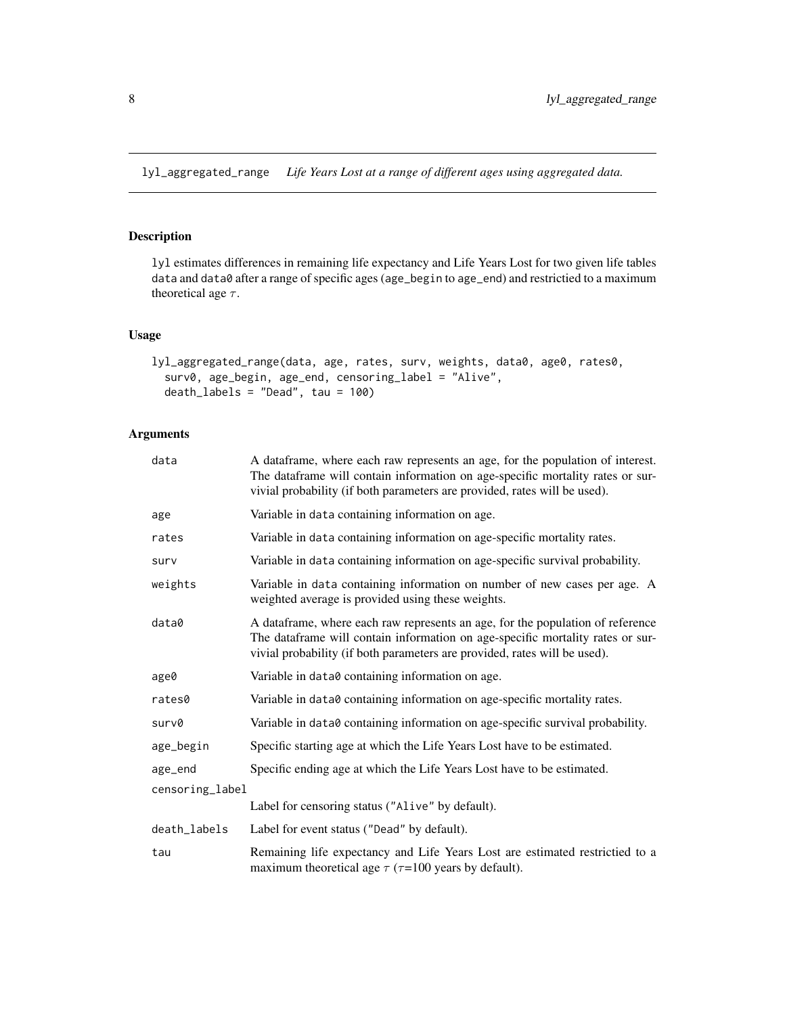<span id="page-7-1"></span><span id="page-7-0"></span>lyl\_aggregated\_range *Life Years Lost at a range of different ages using aggregated data.*

# Description

lyl estimates differences in remaining life expectancy and Life Years Lost for two given life tables data and data0 after a range of specific ages (age\_begin to age\_end) and restrictied to a maximum theoretical age  $\tau$ .

### Usage

```
lyl_aggregated_range(data, age, rates, surv, weights, data0, age0, rates0,
  surv0, age_begin, age_end, censoring_label = "Alive",
  death_labels = "Dead", tau = 100)
```
# Arguments

| data            | A dataframe, where each raw represents an age, for the population of interest.<br>The dataframe will contain information on age-specific mortality rates or sur-<br>vivial probability (if both parameters are provided, rates will be used). |
|-----------------|-----------------------------------------------------------------------------------------------------------------------------------------------------------------------------------------------------------------------------------------------|
| age             | Variable in data containing information on age.                                                                                                                                                                                               |
| rates           | Variable in data containing information on age-specific mortality rates.                                                                                                                                                                      |
| surv            | Variable in data containing information on age-specific survival probability.                                                                                                                                                                 |
| weights         | Variable in data containing information on number of new cases per age. A<br>weighted average is provided using these weights.                                                                                                                |
| data0           | A dataframe, where each raw represents an age, for the population of reference<br>The dataframe will contain information on age-specific mortality rates or sur-<br>vivial probability (if both parameters are provided, rates will be used). |
| age0            | Variable in data0 containing information on age.                                                                                                                                                                                              |
| rates0          | Variable in data0 containing information on age-specific mortality rates.                                                                                                                                                                     |
| surv0           | Variable in data0 containing information on age-specific survival probability.                                                                                                                                                                |
| age_begin       | Specific starting age at which the Life Years Lost have to be estimated.                                                                                                                                                                      |
| age_end         | Specific ending age at which the Life Years Lost have to be estimated.                                                                                                                                                                        |
| censoring_label |                                                                                                                                                                                                                                               |
|                 | Label for censoring status ("Alive" by default).                                                                                                                                                                                              |
| death_labels    | Label for event status ("Dead" by default).                                                                                                                                                                                                   |
| tau             | Remaining life expectancy and Life Years Lost are estimated restrictied to a<br>maximum theoretical age $\tau$ ( $\tau$ =100 years by default).                                                                                               |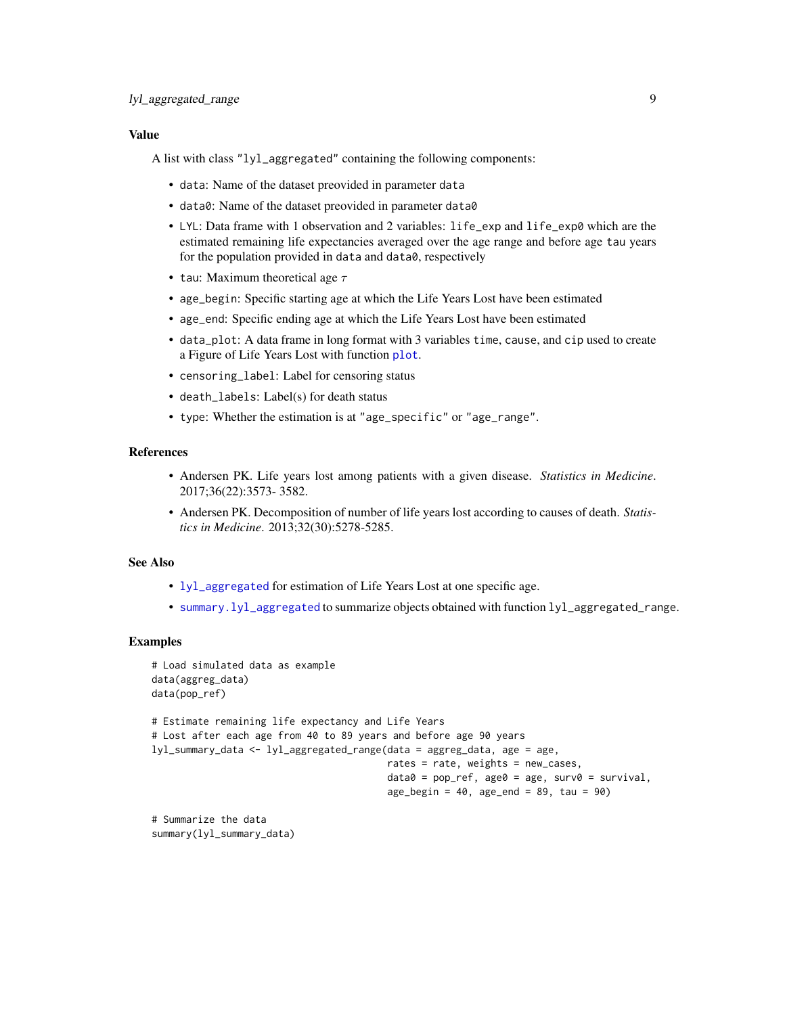### <span id="page-8-0"></span>Value

A list with class "lyl\_aggregated" containing the following components:

- data: Name of the dataset preovided in parameter data
- data0: Name of the dataset preovided in parameter data0
- LYL: Data frame with 1 observation and 2 variables: life\_exp and life\_exp0 which are the estimated remaining life expectancies averaged over the age range and before age tau years for the population provided in data and data0, respectively
- tau: Maximum theoretical age  $\tau$
- age\_begin: Specific starting age at which the Life Years Lost have been estimated
- age\_end: Specific ending age at which the Life Years Lost have been estimated
- data\_plot: A data frame in long format with 3 variables time, cause, and cip used to create a Figure of Life Years Lost with function [plot](#page-0-0).
- censoring\_label: Label for censoring status
- death\_labels: Label(s) for death status
- type: Whether the estimation is at "age\_specific" or "age\_range".

#### References

- Andersen PK. Life years lost among patients with a given disease. *Statistics in Medicine*. 2017;36(22):3573- 3582.
- Andersen PK. Decomposition of number of life years lost according to causes of death. *Statistics in Medicine*. 2013;32(30):5278-5285.

#### See Also

- [lyl\\_aggregated](#page-5-1) for estimation of Life Years Lost at one specific age.
- [summary.lyl\\_aggregated](#page-23-1) to summarize objects obtained with function lyl\_aggregated\_range.

#### Examples

summary(lyl\_summary\_data)

```
# Load simulated data as example
data(aggreg_data)
data(pop_ref)
# Estimate remaining life expectancy and Life Years
# Lost after each age from 40 to 89 years and before age 90 years
lyl_summary_data <- lyl_aggregated_range(data = aggreg_data, age = age,
                                         rates = rate, weights = new_cases,
                                         data0 = pop_ref, age0 = age, surv0 = survival,
                                         age_begin = 40, age_end = 89, tau = 90)
# Summarize the data
```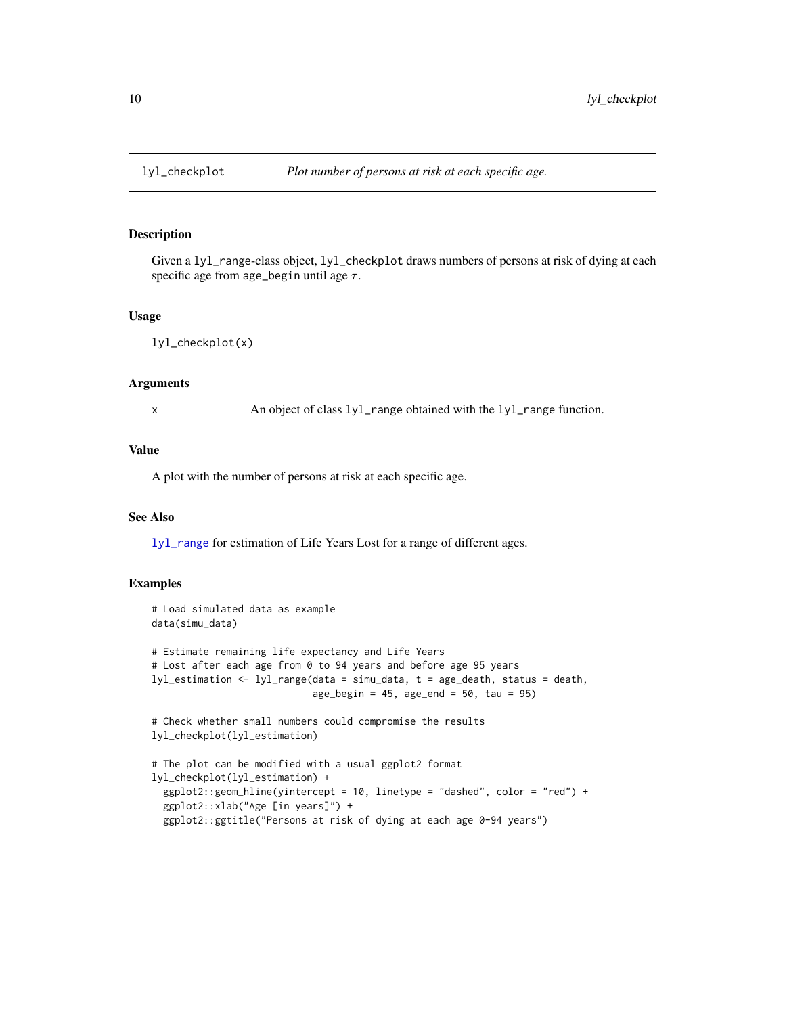# Description

Given a lyl\_range-class object, lyl\_checkplot draws numbers of persons at risk of dying at each specific age from age\_begin until age  $\tau$ .

#### Usage

lyl\_checkplot(x)

#### Arguments

x An object of class lyl\_range obtained with the lyl\_range function.

# Value

A plot with the number of persons at risk at each specific age.

#### See Also

[lyl\\_range](#page-15-1) for estimation of Life Years Lost for a range of different ages.

```
# Load simulated data as example
data(simu_data)
# Estimate remaining life expectancy and Life Years
# Lost after each age from 0 to 94 years and before age 95 years
lyl_estimation <- lyl_range(data = simu_data, t = age_death, status = death,
                            age_begin = 45, age_end = 50, tau = 95)
# Check whether small numbers could compromise the results
lyl_checkplot(lyl_estimation)
# The plot can be modified with a usual ggplot2 format
lyl_checkplot(lyl_estimation) +
 ggplot2::geom_hline(yintercept = 10, linetype = "dashed", color = "red") +
 ggplot2::xlab("Age [in years]") +
 ggplot2::ggtitle("Persons at risk of dying at each age 0-94 years")
```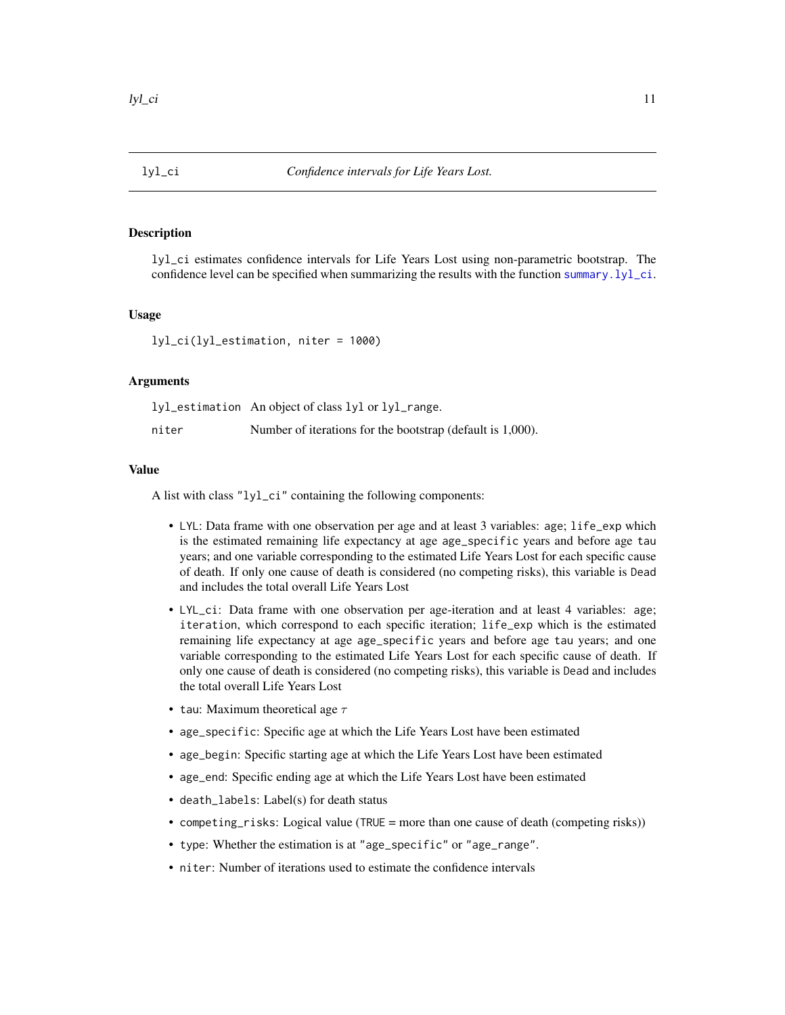<span id="page-10-1"></span><span id="page-10-0"></span>

### Description

lyl\_ci estimates confidence intervals for Life Years Lost using non-parametric bootstrap. The confidence level can be specified when summarizing the results with the function [summary.lyl\\_ci](#page-24-1).

### Usage

lyl\_ci(lyl\_estimation, niter = 1000)

# Arguments

lyl\_estimation An object of class lyl or lyl\_range. niter Number of iterations for the bootstrap (default is 1,000).

#### Value

A list with class "lyl\_ci" containing the following components:

- LYL: Data frame with one observation per age and at least 3 variables: age; life\_exp which is the estimated remaining life expectancy at age age\_specific years and before age tau years; and one variable corresponding to the estimated Life Years Lost for each specific cause of death. If only one cause of death is considered (no competing risks), this variable is Dead and includes the total overall Life Years Lost
- LYL\_ci: Data frame with one observation per age-iteration and at least 4 variables: age; iteration, which correspond to each specific iteration; life\_exp which is the estimated remaining life expectancy at age age\_specific years and before age tau years; and one variable corresponding to the estimated Life Years Lost for each specific cause of death. If only one cause of death is considered (no competing risks), this variable is Dead and includes the total overall Life Years Lost
- tau: Maximum theoretical age  $\tau$
- age\_specific: Specific age at which the Life Years Lost have been estimated
- age\_begin: Specific starting age at which the Life Years Lost have been estimated
- age\_end: Specific ending age at which the Life Years Lost have been estimated
- death\_labels: Label(s) for death status
- competing\_risks: Logical value (TRUE = more than one cause of death (competing risks))
- type: Whether the estimation is at "age\_specific" or "age\_range".
- niter: Number of iterations used to estimate the confidence intervals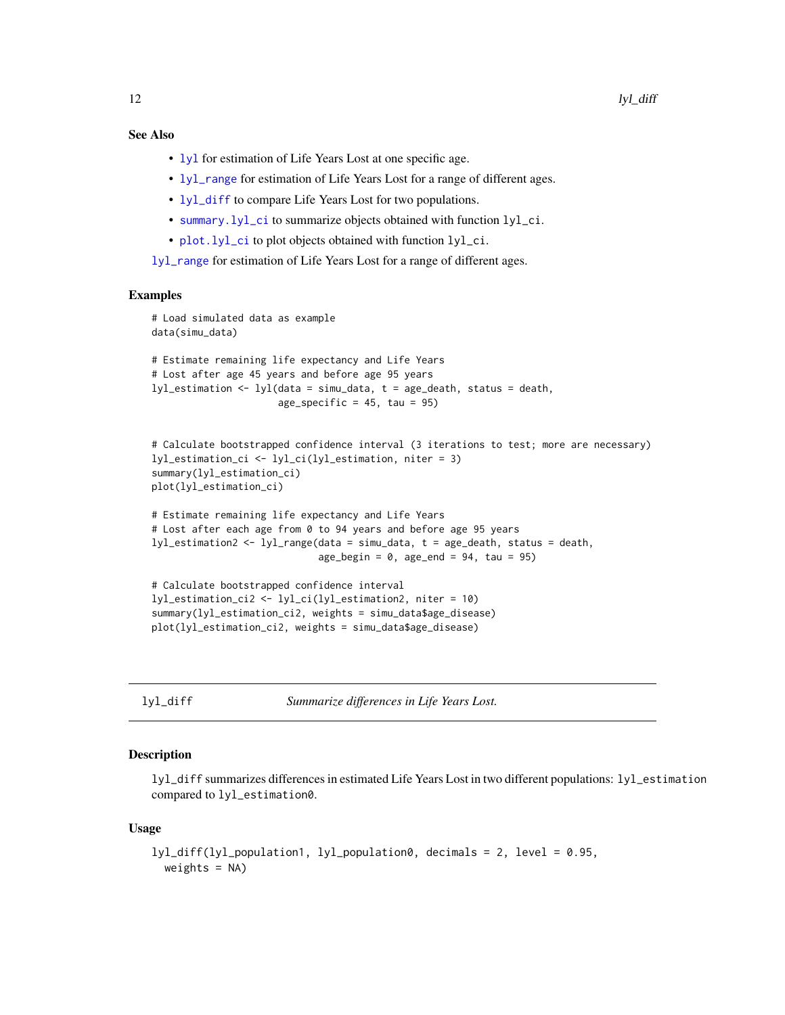# <span id="page-11-0"></span>See Also

- [lyl](#page-2-1) for estimation of Life Years Lost at one specific age.
- [lyl\\_range](#page-15-1) for estimation of Life Years Lost for a range of different ages.
- [lyl\\_diff](#page-11-1) to compare Life Years Lost for two populations.
- [summary.lyl\\_ci](#page-24-1) to summarize objects obtained with function lyl\_ci.
- [plot.lyl\\_ci](#page-19-1) to plot objects obtained with function lyl\_ci.

[lyl\\_range](#page-15-1) for estimation of Life Years Lost for a range of different ages.

#### Examples

```
# Load simulated data as example
data(simu_data)
# Estimate remaining life expectancy and Life Years
# Lost after age 45 years and before age 95 years
lyl_estimation <- lyl(data = simu_data, t = age_death, status = death,
                     age\_specific = 45, tau = 95# Calculate bootstrapped confidence interval (3 iterations to test; more are necessary)
lyl_estimation_ci <- lyl_ci(lyl_estimation, niter = 3)
summary(lyl_estimation_ci)
plot(lyl_estimation_ci)
# Estimate remaining life expectancy and Life Years
# Lost after each age from 0 to 94 years and before age 95 years
lyl_estimation2 <- lyl_range(data = simu_data, t = age_death, status = death,
                             age_begin = 0, age_end = 94, tau = 95)
# Calculate bootstrapped confidence interval
lyl_estimation_ci2 <- lyl_ci(lyl_estimation2, niter = 10)
summary(lyl_estimation_ci2, weights = simu_data$age_disease)
plot(lyl_estimation_ci2, weights = simu_data$age_disease)
```
<span id="page-11-1"></span>lyl\_diff *Summarize differences in Life Years Lost.*

#### Description

lyl\_diff summarizes differences in estimated Life Years Lost in two different populations: lyl\_estimation compared to lyl\_estimation0.

#### Usage

```
lyl_diff(lyl_population1, lyl_population0, decimals = 2, level = 0.95,
 weights = NA)
```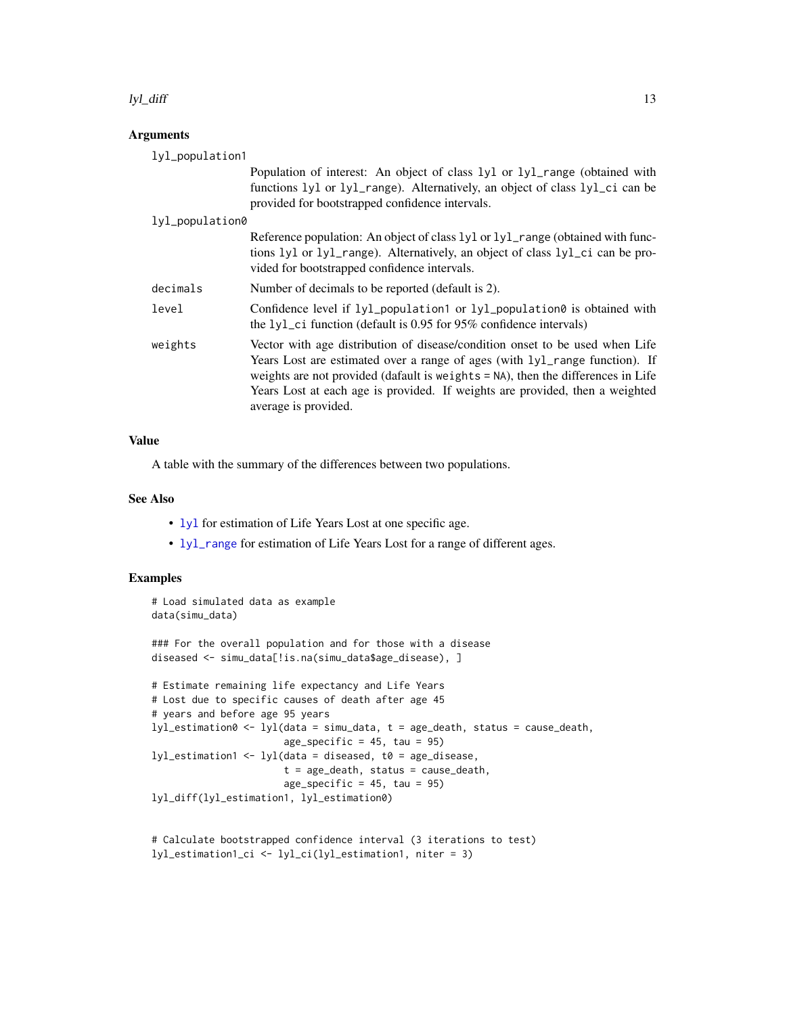#### <span id="page-12-0"></span>lyl\_diff 13

# Arguments

| lyl_population1 |                                                                                                                                                                                                                                                                                                                                                         |
|-----------------|---------------------------------------------------------------------------------------------------------------------------------------------------------------------------------------------------------------------------------------------------------------------------------------------------------------------------------------------------------|
|                 | Population of interest: An object of class 1y1 or 1y1_range (obtained with<br>functions 1y1 or 1y1_range). Alternatively, an object of class 1y1_ci can be<br>provided for bootstrapped confidence intervals.                                                                                                                                           |
| lyl_population0 |                                                                                                                                                                                                                                                                                                                                                         |
|                 | Reference population: An object of class 1y1 or 1y1_range (obtained with func-<br>tions lyl or lyl_range). Alternatively, an object of class lyl_ci can be pro-<br>vided for bootstrapped confidence intervals.                                                                                                                                         |
| decimals        | Number of decimals to be reported (default is 2).                                                                                                                                                                                                                                                                                                       |
| level           | Confidence level if $lyl\_population1$ or $lyl\_population0$ is obtained with<br>the $1y1$ <sub>-</sub> ci function (default is 0.95 for 95% confidence intervals)                                                                                                                                                                                      |
| weights         | Vector with age distribution of disease/condition onset to be used when Life<br>Years Lost are estimated over a range of ages (with lyl_range function). If<br>weights are not provided (dafault is weights = NA), then the differences in Life<br>Years Lost at each age is provided. If weights are provided, then a weighted<br>average is provided. |

# Value

A table with the summary of the differences between two populations.

### See Also

- [lyl](#page-2-1) for estimation of Life Years Lost at one specific age.
- [lyl\\_range](#page-15-1) for estimation of Life Years Lost for a range of different ages.

# Examples

```
# Load simulated data as example
data(simu_data)
```
### For the overall population and for those with a disease diseased <- simu\_data[!is.na(simu\_data\$age\_disease), ]

```
# Estimate remaining life expectancy and Life Years
# Lost due to specific causes of death after age 45
# years and before age 95 years
lyl_estimation0 <- lyl(data = simu_data, t = age_death, status = cause_death,
                       age\_specific = 45, tau = 95)
lyl_estimation1 <- lyl(data = diseased, t0 = age_disease,
                       t = age_death, status = cause_death,
                       age_specific = 45, tau = 95)
lyl_diff(lyl_estimation1, lyl_estimation0)
```

```
# Calculate bootstrapped confidence interval (3 iterations to test)
lyl_estimation1_ci <- lyl_ci(lyl_estimation1, niter = 3)
```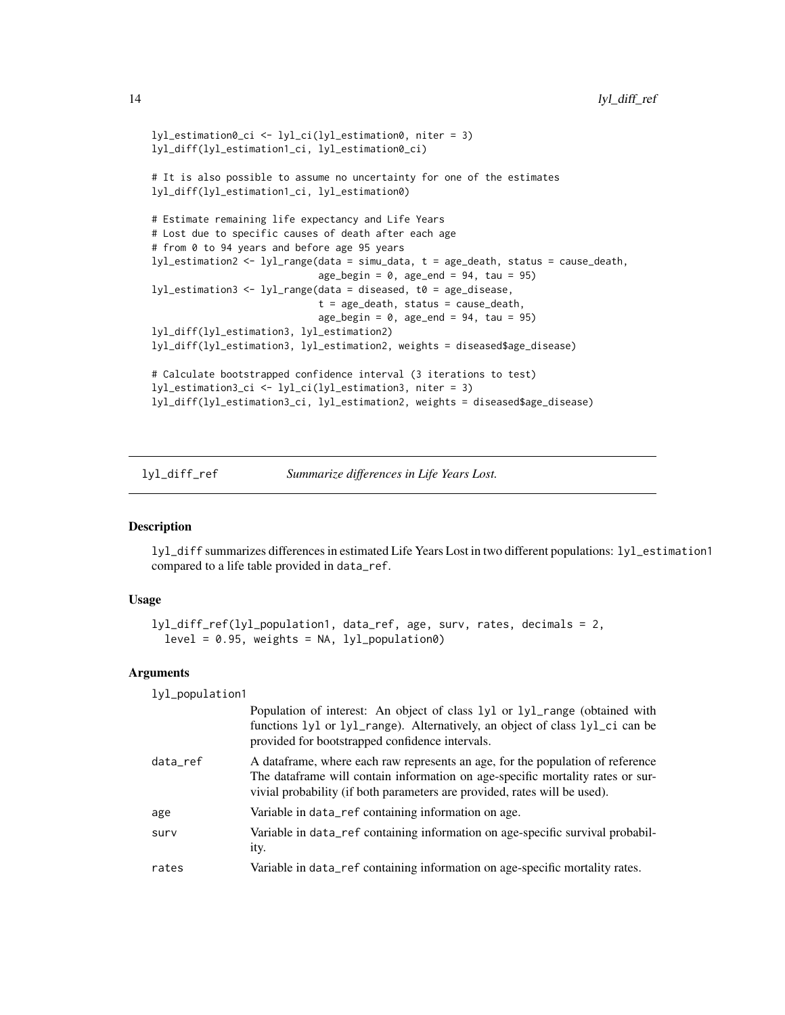```
lyl_estimation0_ci <- lyl_ci(lyl_estimation0, niter = 3)
lyl_diff(lyl_estimation1_ci, lyl_estimation0_ci)
# It is also possible to assume no uncertainty for one of the estimates
lyl_diff(lyl_estimation1_ci, lyl_estimation0)
# Estimate remaining life expectancy and Life Years
# Lost due to specific causes of death after each age
# from 0 to 94 years and before age 95 years
lyl_estimation2 <- lyl_range(data = simu_data, t = age_death, status = cause_death,
                             age\_begin = 0, age\_end = 94, tau = 95lyl_estimation3 <- lyl_range(data = diseased, t0 = age_disease,
                             t = age_death, status = cause_death,
                             age_begin = 0, age_end = 94, tau = 95)
lyl_diff(lyl_estimation3, lyl_estimation2)
lyl_diff(lyl_estimation3, lyl_estimation2, weights = diseased$age_disease)
# Calculate bootstrapped confidence interval (3 iterations to test)
lyl_estimation3_ci <- lyl_ci(lyl_estimation3, niter = 3)
lyl_diff(lyl_estimation3_ci, lyl_estimation2, weights = diseased$age_disease)
```
lyl\_diff\_ref *Summarize differences in Life Years Lost.*

#### Description

lyl\_diff summarizes differences in estimated Life Years Lost in two different populations: lyl\_estimation1 compared to a life table provided in data\_ref.

### Usage

```
lyl_diff_ref(lyl_population1, data_ref, age, surv, rates, decimals = 2,
  level = 0.95, weights = NA, lyl\_population0)
```
#### Arguments

lyl\_population1

|          | Population of interest: An object of class 1y1 or 1y1_range (obtained with<br>functions 1y1 or 1y1_range). Alternatively, an object of class 1y1_ci can be<br>provided for bootstrapped confidence intervals.                                 |
|----------|-----------------------------------------------------------------------------------------------------------------------------------------------------------------------------------------------------------------------------------------------|
| data_ref | A dataframe, where each raw represents an age, for the population of reference<br>The dataframe will contain information on age-specific mortality rates or sur-<br>vivial probability (if both parameters are provided, rates will be used). |
| age      | Variable in data_ref containing information on age.                                                                                                                                                                                           |
| surv     | Variable in data_ref containing information on age-specific survival probabil-<br>ity.                                                                                                                                                        |
| rates    | Variable in data_ref containing information on age-specific mortality rates.                                                                                                                                                                  |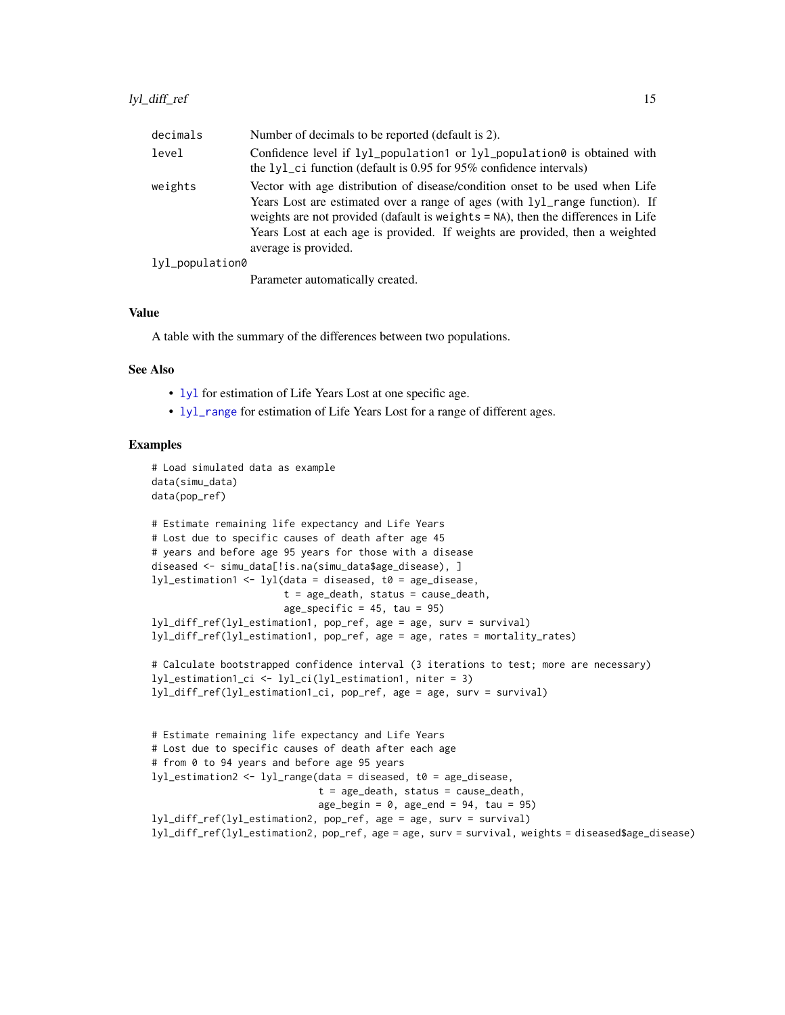<span id="page-14-0"></span>

| decimals        | Number of decimals to be reported (default is 2).                                                                                                                                                                                                                                                                                                       |
|-----------------|---------------------------------------------------------------------------------------------------------------------------------------------------------------------------------------------------------------------------------------------------------------------------------------------------------------------------------------------------------|
| level           | Confidence level if $lyl\_population1$ or $lyl\_population0$ is obtained with<br>the $1y1$ <sub>-</sub> ci function (default is 0.95 for 95% confidence intervals)                                                                                                                                                                                      |
| weights         | Vector with age distribution of disease/condition onset to be used when Life<br>Years Lost are estimated over a range of ages (with 1y1_range function). If<br>weights are not provided (dafault is weights = NA), then the differences in Life<br>Years Lost at each age is provided. If weights are provided, then a weighted<br>average is provided. |
| lyl_population0 |                                                                                                                                                                                                                                                                                                                                                         |
|                 | . 11 1                                                                                                                                                                                                                                                                                                                                                  |

Parameter automatically created.

#### Value

A table with the summary of the differences between two populations.

### See Also

- [lyl](#page-2-1) for estimation of Life Years Lost at one specific age.
- [lyl\\_range](#page-15-1) for estimation of Life Years Lost for a range of different ages.

```
# Load simulated data as example
data(simu_data)
data(pop_ref)
```

```
# Estimate remaining life expectancy and Life Years
# Lost due to specific causes of death after age 45
# years and before age 95 years for those with a disease
diseased <- simu_data[!is.na(simu_data$age_disease), ]
lyl_estimation1 <- lyl(data = diseased, t0 = age_disease,
                       t = age_death, status = cause_death,
                       age_specific = 45, tau = 95)
lyl_diff_ref(lyl_estimation1, pop_ref, age = age, surv = survival)
lyl_diff_ref(lyl_estimation1, pop_ref, age = age, rates = mortality_rates)
```

```
# Calculate bootstrapped confidence interval (3 iterations to test; more are necessary)
lyl_estimation1_ci <- lyl_ci(lyl_estimation1, niter = 3)
lyl_diff_ref(lyl_estimation1_ci, pop_ref, age = age, surv = survival)
```

```
# Estimate remaining life expectancy and Life Years
# Lost due to specific causes of death after each age
# from 0 to 94 years and before age 95 years
lyl_estimation2 <- lyl_range(data = diseased, t0 = age_disease,
                             t = age\_death, status = cause_death,
                             age_begin = 0, age_end = 94, tau = 95)
lyl_diff_ref(lyl_estimation2, pop_ref, age = age, surv = survival)
lyl_diff_ref(lyl_estimation2, pop_ref, age = age, surv = survival, weights = diseased$age_disease)
```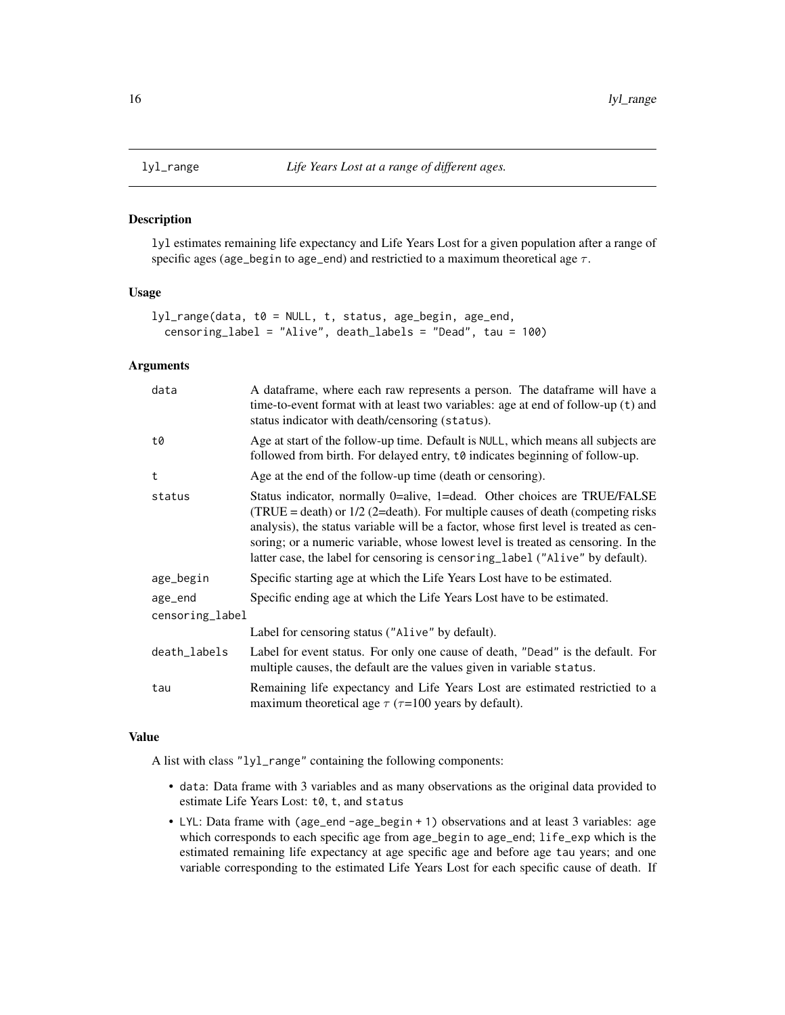<span id="page-15-1"></span><span id="page-15-0"></span>

#### Description

lyl estimates remaining life expectancy and Life Years Lost for a given population after a range of specific ages (age\_begin to age\_end) and restrictied to a maximum theoretical age  $\tau$ .

#### Usage

```
lyl_range(data, t0 = NULL, t, status, age_begin, age_end,
 censoring_label = "Alive", death_labels = "Dead", tau = 100)
```
# Arguments

| A dataframe, where each raw represents a person. The dataframe will have a<br>time-to-event format with at least two variables: age at end of follow-up (t) and<br>status indicator with death/censoring (status).                                                                                                                                                                                                            |
|-------------------------------------------------------------------------------------------------------------------------------------------------------------------------------------------------------------------------------------------------------------------------------------------------------------------------------------------------------------------------------------------------------------------------------|
| Age at start of the follow-up time. Default is NULL, which means all subjects are<br>followed from birth. For delayed entry, to indicates beginning of follow-up.                                                                                                                                                                                                                                                             |
| Age at the end of the follow-up time (death or censoring).                                                                                                                                                                                                                                                                                                                                                                    |
| Status indicator, normally 0=alive, 1=dead. Other choices are TRUE/FALSE<br>$(TRUE = death)$ or $1/2$ (2=death). For multiple causes of death (competing risks<br>analysis), the status variable will be a factor, whose first level is treated as cen-<br>soring; or a numeric variable, whose lowest level is treated as censoring. In the<br>latter case, the label for censoring is censoring_label ("Alive" by default). |
| Specific starting age at which the Life Years Lost have to be estimated.                                                                                                                                                                                                                                                                                                                                                      |
| Specific ending age at which the Life Years Lost have to be estimated.                                                                                                                                                                                                                                                                                                                                                        |
| censoring_label                                                                                                                                                                                                                                                                                                                                                                                                               |
| Label for censoring status ("Alive" by default).                                                                                                                                                                                                                                                                                                                                                                              |
| Label for event status. For only one cause of death, "Dead" is the default. For<br>multiple causes, the default are the values given in variable status.                                                                                                                                                                                                                                                                      |
| Remaining life expectancy and Life Years Lost are estimated restrictied to a<br>maximum theoretical age $\tau$ ( $\tau$ =100 years by default).                                                                                                                                                                                                                                                                               |
|                                                                                                                                                                                                                                                                                                                                                                                                                               |

#### Value

A list with class "lyl\_range" containing the following components:

- data: Data frame with 3 variables and as many observations as the original data provided to estimate Life Years Lost: t0, t, and status
- LYL: Data frame with (age\_end -age\_begin + 1) observations and at least 3 variables: age which corresponds to each specific age from age\_begin to age\_end; life\_exp which is the estimated remaining life expectancy at age specific age and before age tau years; and one variable corresponding to the estimated Life Years Lost for each specific cause of death. If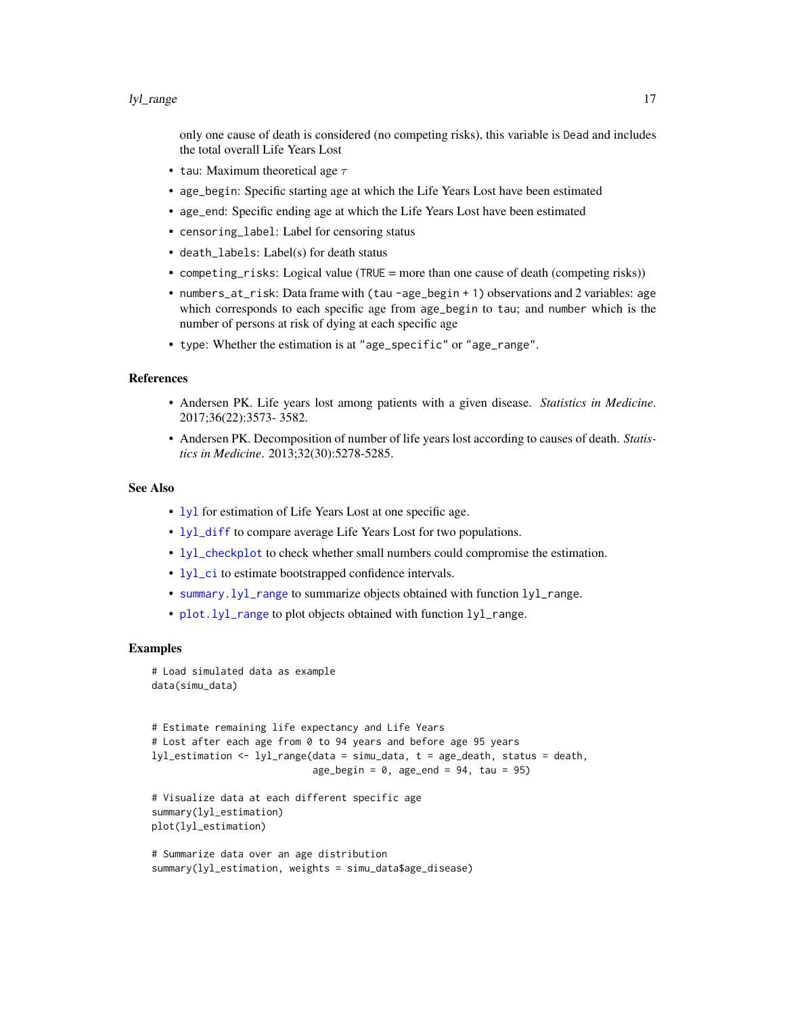#### <span id="page-16-0"></span>lyl\_range 17

only one cause of death is considered (no competing risks), this variable is Dead and includes the total overall Life Years Lost

- tau: Maximum theoretical age  $\tau$
- age\_begin: Specific starting age at which the Life Years Lost have been estimated
- age\_end: Specific ending age at which the Life Years Lost have been estimated
- censoring\_label: Label for censoring status
- death\_labels: Label(s) for death status
- competing\_risks: Logical value (TRUE = more than one cause of death (competing risks))
- numbers\_at\_risk: Data frame with (tau -age\_begin + 1) observations and 2 variables: age which corresponds to each specific age from age\_begin to tau; and number which is the number of persons at risk of dying at each specific age
- type: Whether the estimation is at "age\_specific" or "age\_range".

#### References

- Andersen PK. Life years lost among patients with a given disease. *Statistics in Medicine*. 2017;36(22):3573- 3582.
- Andersen PK. Decomposition of number of life years lost according to causes of death. *Statistics in Medicine*. 2013;32(30):5278-5285.

#### See Also

- [lyl](#page-2-1) for estimation of Life Years Lost at one specific age.
- [lyl\\_diff](#page-11-1) to compare average Life Years Lost for two populations.
- [lyl\\_checkplot](#page-9-1) to check whether small numbers could compromise the estimation.
- [lyl\\_ci](#page-10-1) to estimate bootstrapped confidence intervals.
- [summary.lyl\\_range](#page-25-1) to summarize objects obtained with function lyl\_range.
- [plot.lyl\\_range](#page-20-1) to plot objects obtained with function lyl\_range.

```
# Load simulated data as example
data(simu_data)
```

```
# Estimate remaining life expectancy and Life Years
# Lost after each age from 0 to 94 years and before age 95 years
lyl_estimation <- lyl_range(data = simu_data, t = age_death, status = death,
                            age_begin = 0, age_end = 94, tau = 95)
```

```
# Visualize data at each different specific age
summary(lyl_estimation)
plot(lyl_estimation)
```

```
# Summarize data over an age distribution
summary(lyl_estimation, weights = simu_data$age_disease)
```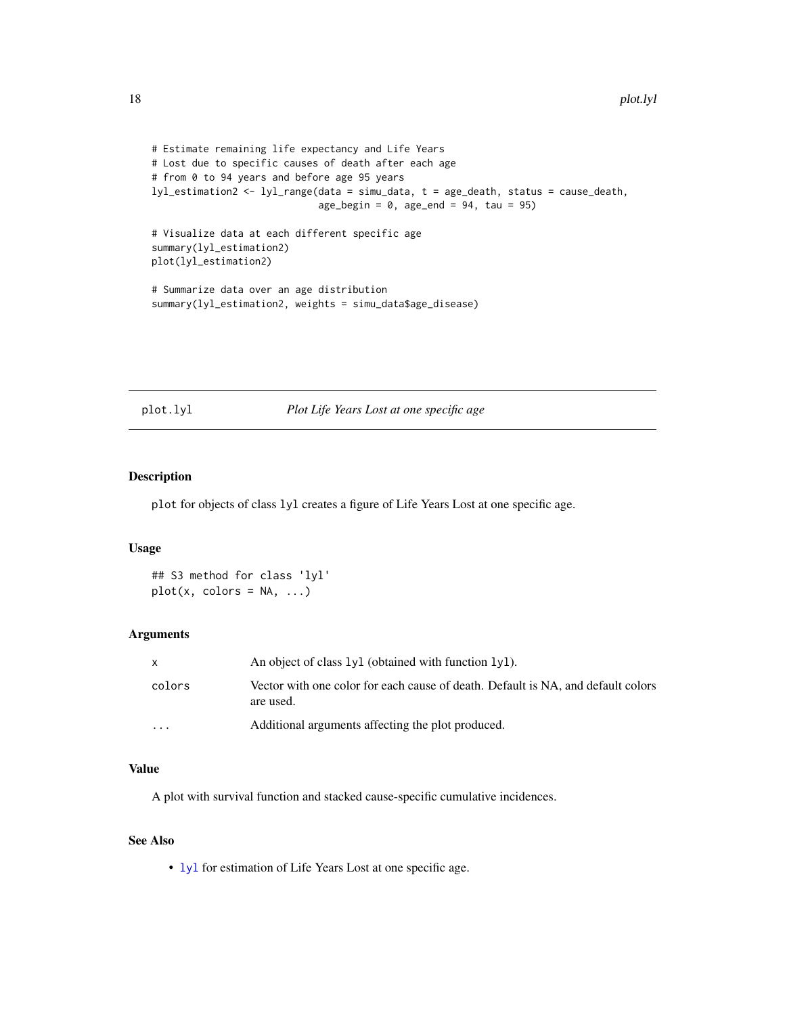```
# Estimate remaining life expectancy and Life Years
# Lost due to specific causes of death after each age
# from 0 to 94 years and before age 95 years
lyl_estimation2 <- lyl_range(data = simu_data, t = age_death, status = cause_death,
                             age_begin = 0, age_end = 94, tau = 95)
# Visualize data at each different specific age
summary(lyl_estimation2)
plot(lyl_estimation2)
# Summarize data over an age distribution
summary(lyl_estimation2, weights = simu_data$age_disease)
```
<span id="page-17-1"></span>plot.lyl *Plot Life Years Lost at one specific age*

#### Description

plot for objects of class lyl creates a figure of Life Years Lost at one specific age.

# Usage

## S3 method for class 'lyl'  $plot(x, colors = NA, ...)$ 

#### Arguments

| X        | An object of class 1y1 (obtained with function 1y1).                                          |
|----------|-----------------------------------------------------------------------------------------------|
| colors   | Vector with one color for each cause of death. Default is NA, and default colors<br>are used. |
| $\cdots$ | Additional arguments affecting the plot produced.                                             |

# Value

A plot with survival function and stacked cause-specific cumulative incidences.

# See Also

• [lyl](#page-2-1) for estimation of Life Years Lost at one specific age.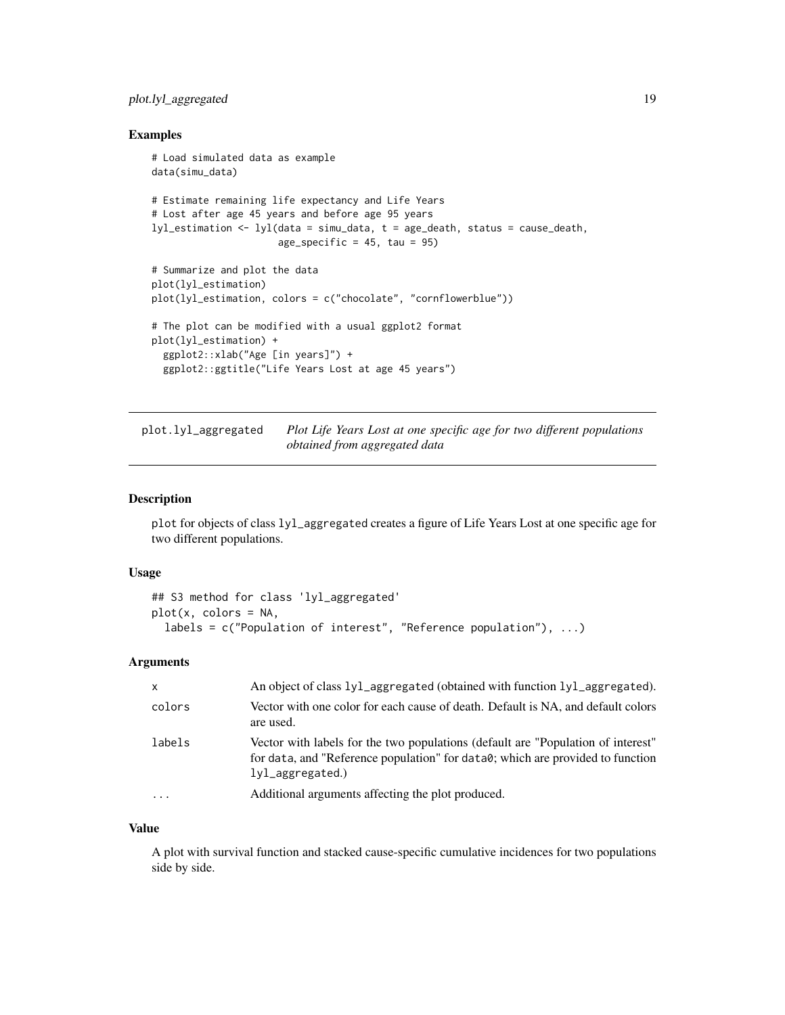# <span id="page-18-0"></span>plot.lyl\_aggregated 19

#### Examples

```
# Load simulated data as example
data(simu_data)
# Estimate remaining life expectancy and Life Years
# Lost after age 45 years and before age 95 years
lyl_estimation <- lyl(data = simu_data, t = age_death, status = cause_death,
                      age\_specific = 45, tau = 95)
# Summarize and plot the data
plot(lyl_estimation)
plot(lyl_estimation, colors = c("chocolate", "cornflowerblue"))
# The plot can be modified with a usual ggplot2 format
plot(lyl_estimation) +
  ggplot2::xlab("Age [in years]") +
  ggplot2::ggtitle("Life Years Lost at age 45 years")
```
<span id="page-18-1"></span>plot.lyl\_aggregated *Plot Life Years Lost at one specific age for two different populations obtained from aggregated data*

# Description

plot for objects of class lyl\_aggregated creates a figure of Life Years Lost at one specific age for two different populations.

#### Usage

```
## S3 method for class 'lyl_aggregated'
plot(x, colors = NA,
  labels = c("Population of interest", "Reference population"), ...)
```
# Arguments

| $\mathsf{x}$ | An object of class 1y1_aggregated (obtained with function 1y1_aggregated).                                                                                                                |
|--------------|-------------------------------------------------------------------------------------------------------------------------------------------------------------------------------------------|
| colors       | Vector with one color for each cause of death. Default is NA, and default colors<br>are used.                                                                                             |
| labels       | Vector with labels for the two populations (default are "Population of interest"<br>for data, and "Reference population" for data0; which are provided to function<br>$1$ yl_aggregated.) |
|              | Additional arguments affecting the plot produced.                                                                                                                                         |

#### Value

A plot with survival function and stacked cause-specific cumulative incidences for two populations side by side.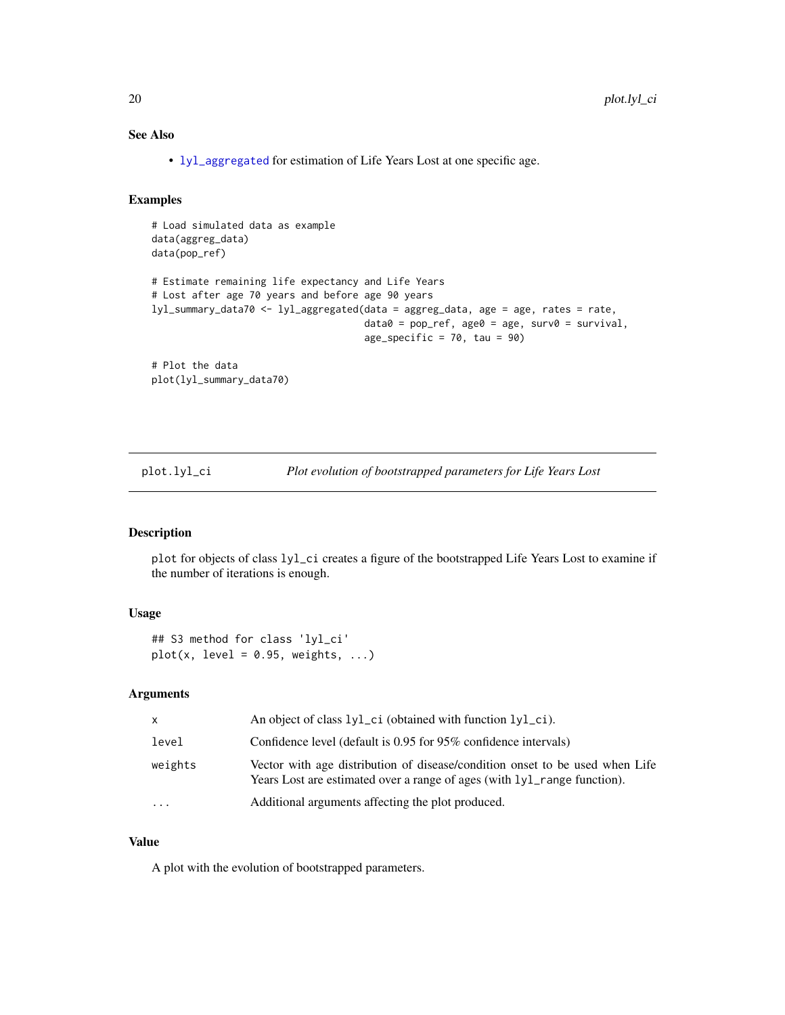# <span id="page-19-0"></span>See Also

• [lyl\\_aggregated](#page-5-1) for estimation of Life Years Lost at one specific age.

# Examples

```
# Load simulated data as example
data(aggreg_data)
data(pop_ref)
# Estimate remaining life expectancy and Life Years
# Lost after age 70 years and before age 90 years
lyl_summary_data70 <- lyl_aggregated(data = aggreg_data, age = age, rates = rate,
                                     data0 = pop_ref, age0 = age, surv0 = survival,age_specific = 70, tau = 90)
# Plot the data
plot(lyl_summary_data70)
```
<span id="page-19-1"></span>

| plot.lyl_ci | Plot evolution of bootstrapped parameters for Life Years Lost |  |
|-------------|---------------------------------------------------------------|--|
|             |                                                               |  |

# Description

plot for objects of class lyl\_ci creates a figure of the bootstrapped Life Years Lost to examine if the number of iterations is enough.

# Usage

```
## S3 method for class 'lyl_ci'
plot(x, level = 0.95, weights, ...)
```
#### Arguments

| X        | An object of class 1y1_ci (obtained with function 1y1_ci).                                                                                               |
|----------|----------------------------------------------------------------------------------------------------------------------------------------------------------|
| level    | Confidence level (default is 0.95 for 95% confidence intervals)                                                                                          |
| weights  | Vector with age distribution of disease/condition onset to be used when Life<br>Years Lost are estimated over a range of ages (with lyl_range function). |
| $\cdots$ | Additional arguments affecting the plot produced.                                                                                                        |

#### Value

A plot with the evolution of bootstrapped parameters.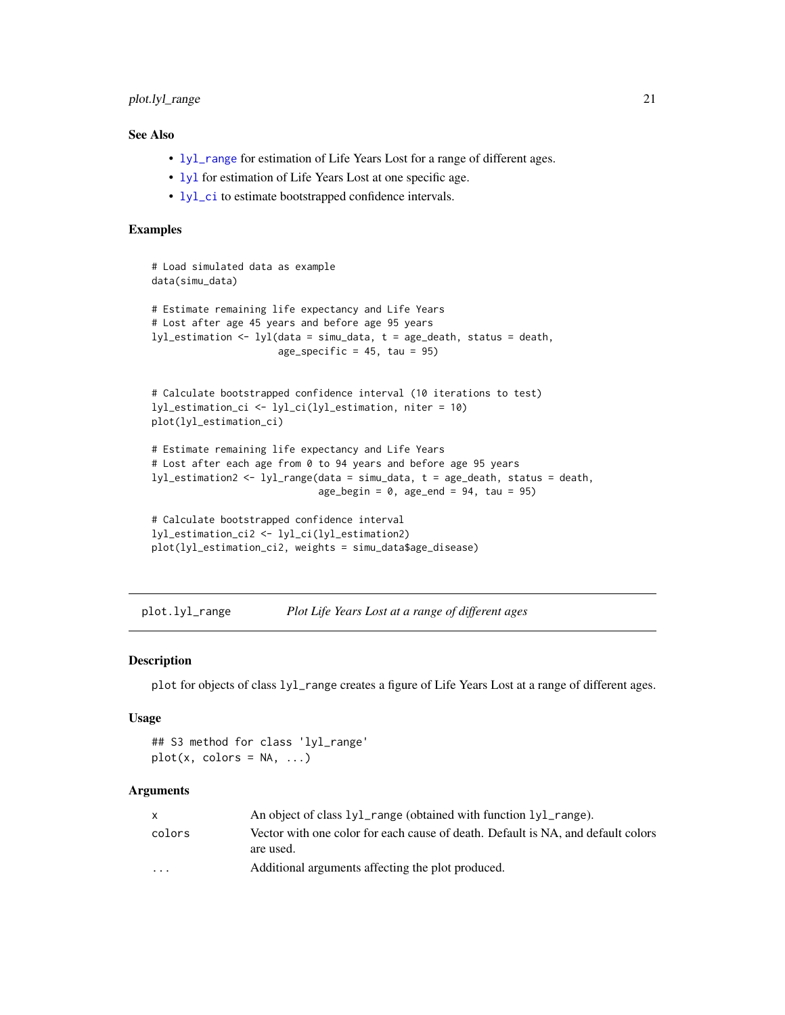# <span id="page-20-0"></span>plot.lyl\_range 21

# See Also

- [lyl\\_range](#page-15-1) for estimation of Life Years Lost for a range of different ages.
- [lyl](#page-2-1) for estimation of Life Years Lost at one specific age.
- [lyl\\_ci](#page-10-1) to estimate bootstrapped confidence intervals.

### Examples

```
# Load simulated data as example
data(simu_data)
# Estimate remaining life expectancy and Life Years
# Lost after age 45 years and before age 95 years
lyl_estimation <- lyl(data = simu_data, t = age_death, status = death,
                      age_specific = 45, tau = 95)
# Calculate bootstrapped confidence interval (10 iterations to test)
lyl_estimation_ci <- lyl_ci(lyl_estimation, niter = 10)
plot(lyl_estimation_ci)
# Estimate remaining life expectancy and Life Years
# Lost after each age from 0 to 94 years and before age 95 years
lyl_estimation2 <- lyl_range(data = simu_data, t = age_death, status = death,
                             age_begin = 0, age_end = 94, tau = 95)
# Calculate bootstrapped confidence interval
lyl_estimation_ci2 <- lyl_ci(lyl_estimation2)
plot(lyl_estimation_ci2, weights = simu_data$age_disease)
```
<span id="page-20-1"></span>plot.lyl\_range *Plot Life Years Lost at a range of different ages*

#### Description

plot for objects of class lyl\_range creates a figure of Life Years Lost at a range of different ages.

## Usage

## S3 method for class 'lyl\_range'  $plot(x, colors = NA, ...)$ 

#### Arguments

|                         | An object of class 1y1_range (obtained with function 1y1_range).                              |
|-------------------------|-----------------------------------------------------------------------------------------------|
| colors                  | Vector with one color for each cause of death. Default is NA, and default colors<br>are used. |
| $\cdot$ $\cdot$ $\cdot$ | Additional arguments affecting the plot produced.                                             |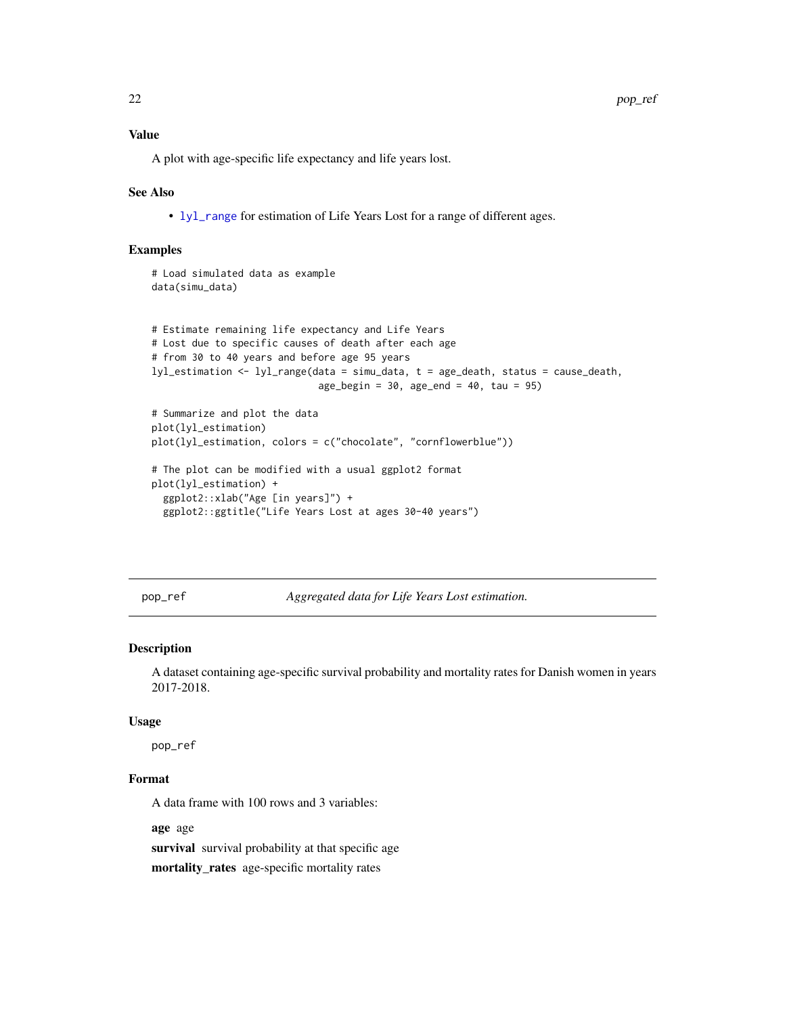<span id="page-21-0"></span>22 pop\_ref = pop\_ref = pop\_ref = pop\_ref = pop\_ref = pop\_ref = pop\_ref = pop\_ref = pop\_ref = pop\_ref

A plot with age-specific life expectancy and life years lost.

#### See Also

• [lyl\\_range](#page-15-1) for estimation of Life Years Lost for a range of different ages.

#### Examples

```
# Load simulated data as example
data(simu_data)
```

```
# Estimate remaining life expectancy and Life Years
# Lost due to specific causes of death after each age
# from 30 to 40 years and before age 95 years
lyl_estimation <- lyl_range(data = simu_data, t = age_death, status = cause_death,
                             age\_begin = 30, age\_end = 40, tau = 95# Summarize and plot the data
plot(lyl_estimation)
plot(lyl_estimation, colors = c("chocolate", "cornflowerblue"))
# The plot can be modified with a usual ggplot2 format
plot(lyl_estimation) +
  ggplot2::xlab("Age [in years]") +
```

```
ggplot2::ggtitle("Life Years Lost at ages 30-40 years")
```
pop\_ref *Aggregated data for Life Years Lost estimation.*

#### Description

A dataset containing age-specific survival probability and mortality rates for Danish women in years 2017-2018.

#### Usage

pop\_ref

# Format

A data frame with 100 rows and 3 variables:

age age

survival survival probability at that specific age

mortality\_rates age-specific mortality rates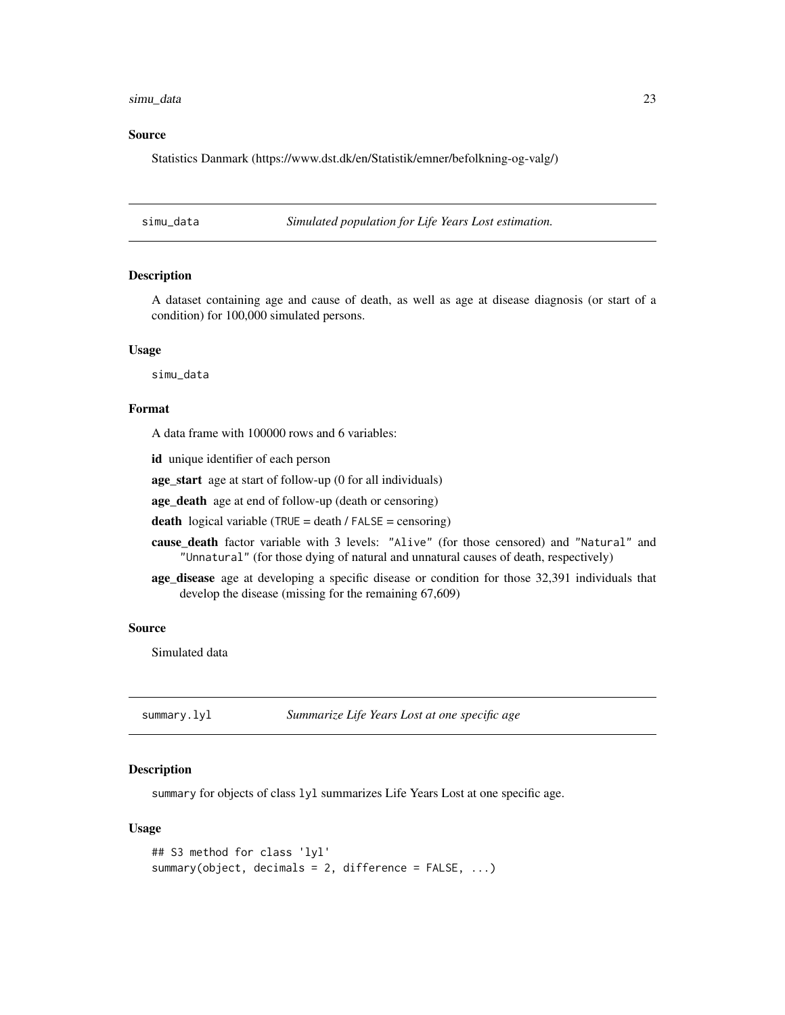#### <span id="page-22-0"></span>simu\_data 23

#### Source

Statistics Danmark (https://www.dst.dk/en/Statistik/emner/befolkning-og-valg/)

simu\_data *Simulated population for Life Years Lost estimation.*

### Description

A dataset containing age and cause of death, as well as age at disease diagnosis (or start of a condition) for 100,000 simulated persons.

#### Usage

simu\_data

#### Format

A data frame with 100000 rows and 6 variables:

id unique identifier of each person

age\_start age at start of follow-up (0 for all individuals)

age\_death age at end of follow-up (death or censoring)

death logical variable (TRUE = death / FALSE = censoring)

- cause\_death factor variable with 3 levels: "Alive" (for those censored) and "Natural" and "Unnatural" (for those dying of natural and unnatural causes of death, respectively)
- age\_disease age at developing a specific disease or condition for those 32,391 individuals that develop the disease (missing for the remaining 67,609)

#### Source

Simulated data

<span id="page-22-1"></span>summary.lyl *Summarize Life Years Lost at one specific age*

#### Description

summary for objects of class lyl summarizes Life Years Lost at one specific age.

#### Usage

```
## S3 method for class 'lyl'
summary(object, decimals = 2, difference = FALSE, ...)
```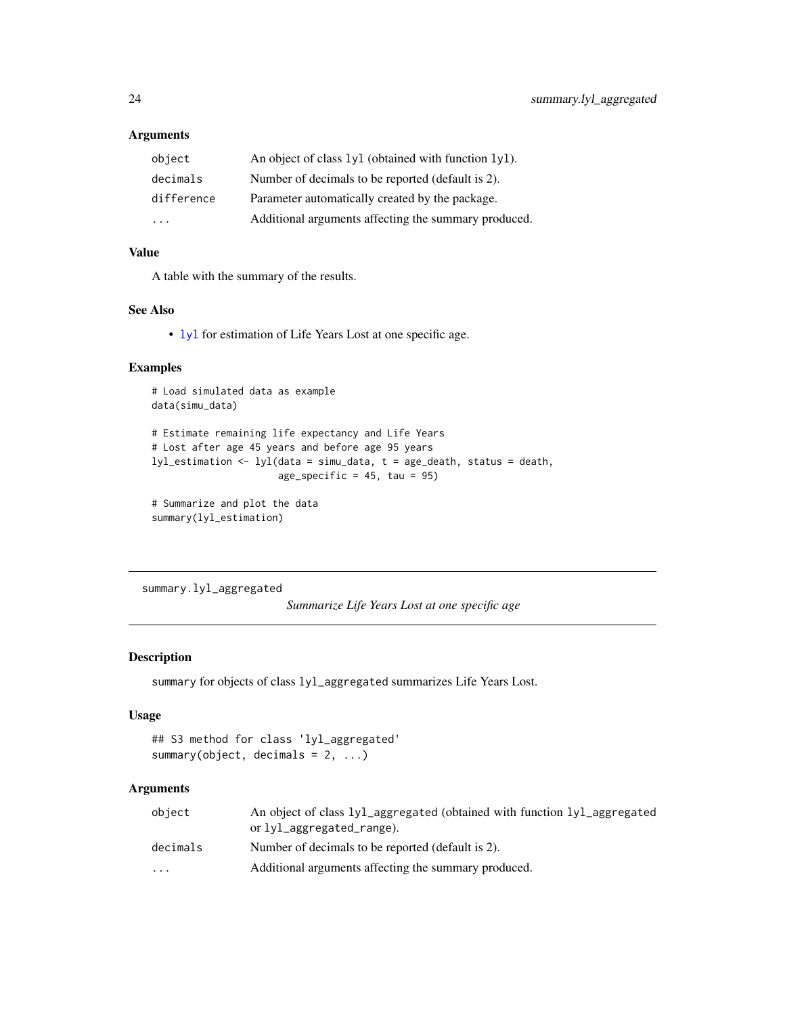# <span id="page-23-0"></span>Arguments

| object     | An object of class $1yl$ (obtained with function $1vl$ ). |
|------------|-----------------------------------------------------------|
| decimals   | Number of decimals to be reported (default is 2).         |
| difference | Parameter automatically created by the package.           |
| .          | Additional arguments affecting the summary produced.      |

# Value

A table with the summary of the results.

# See Also

• [lyl](#page-2-1) for estimation of Life Years Lost at one specific age.

# Examples

```
# Load simulated data as example
data(simu_data)
```

```
# Estimate remaining life expectancy and Life Years
# Lost after age 45 years and before age 95 years
lyl_estimation <- lyl(data = simu_data, t = age_death, status = death,
                     age_specific = 45, tau = 95)
```

```
# Summarize and plot the data
summary(lyl_estimation)
```
<span id="page-23-1"></span>summary.lyl\_aggregated

*Summarize Life Years Lost at one specific age*

# Description

```
summary for objects of class lyl_aggregated summarizes Life Years Lost.
```
# Usage

```
## S3 method for class 'lyl_aggregated'
summary(object, decimals = 2, ...)
```
# Arguments

| object                  | An object of class 1y1_aggregated (obtained with function 1y1_aggregated<br>or lyl_aggregated_range). |
|-------------------------|-------------------------------------------------------------------------------------------------------|
| decimals                | Number of decimals to be reported (default is 2).                                                     |
| $\cdot$ $\cdot$ $\cdot$ | Additional arguments affecting the summary produced.                                                  |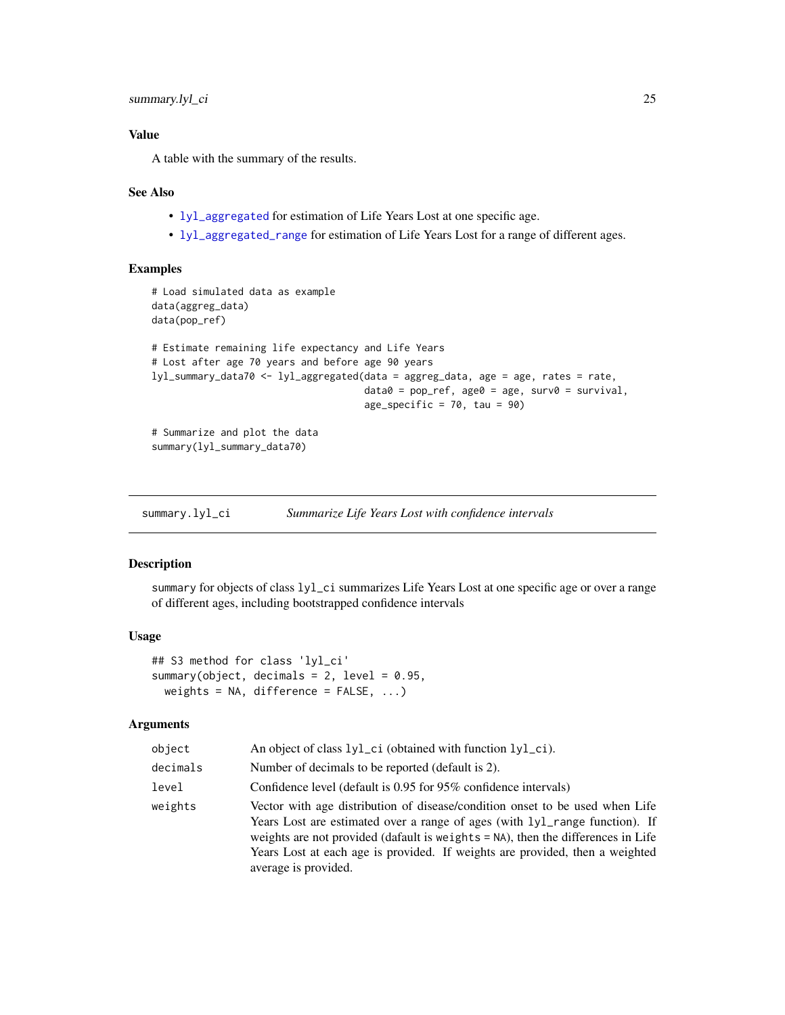# <span id="page-24-0"></span>Value

A table with the summary of the results.

#### See Also

- [lyl\\_aggregated](#page-5-1) for estimation of Life Years Lost at one specific age.
- [lyl\\_aggregated\\_range](#page-7-1) for estimation of Life Years Lost for a range of different ages.

# Examples

```
# Load simulated data as example
data(aggreg_data)
data(pop_ref)
# Estimate remaining life expectancy and Life Years
# Lost after age 70 years and before age 90 years
lyl_summary_data70 <- lyl_aggregated(data = aggreg_data, age = age, rates = rate,
                                     data0 = pop_ref, age0 = age, surv0 = survival,
                                     age_specific = 70, tau = 90)
# Summarize and plot the data
summary(lyl_summary_data70)
```
<span id="page-24-1"></span>summary.lyl\_ci *Summarize Life Years Lost with confidence intervals*

# Description

summary for objects of class  $1y1$ <sub>-</sub>ci summarizes Life Years Lost at one specific age or over a range of different ages, including bootstrapped confidence intervals

#### Usage

```
## S3 method for class 'lyl_ci'
summary(object, decimals = 2, level = 0.95,
 weights = NA, difference = FALSE, ...)
```
#### Arguments

| object   | An object of class 1y1_ci (obtained with function 1y1_ci).                                                                                                                                                                                                                                                                                              |
|----------|---------------------------------------------------------------------------------------------------------------------------------------------------------------------------------------------------------------------------------------------------------------------------------------------------------------------------------------------------------|
| decimals | Number of decimals to be reported (default is 2).                                                                                                                                                                                                                                                                                                       |
| level    | Confidence level (default is 0.95 for 95% confidence intervals)                                                                                                                                                                                                                                                                                         |
| weights  | Vector with age distribution of disease/condition onset to be used when Life<br>Years Lost are estimated over a range of ages (with 1y1_range function). If<br>weights are not provided (dafault is weights = NA), then the differences in Life<br>Years Lost at each age is provided. If weights are provided, then a weighted<br>average is provided. |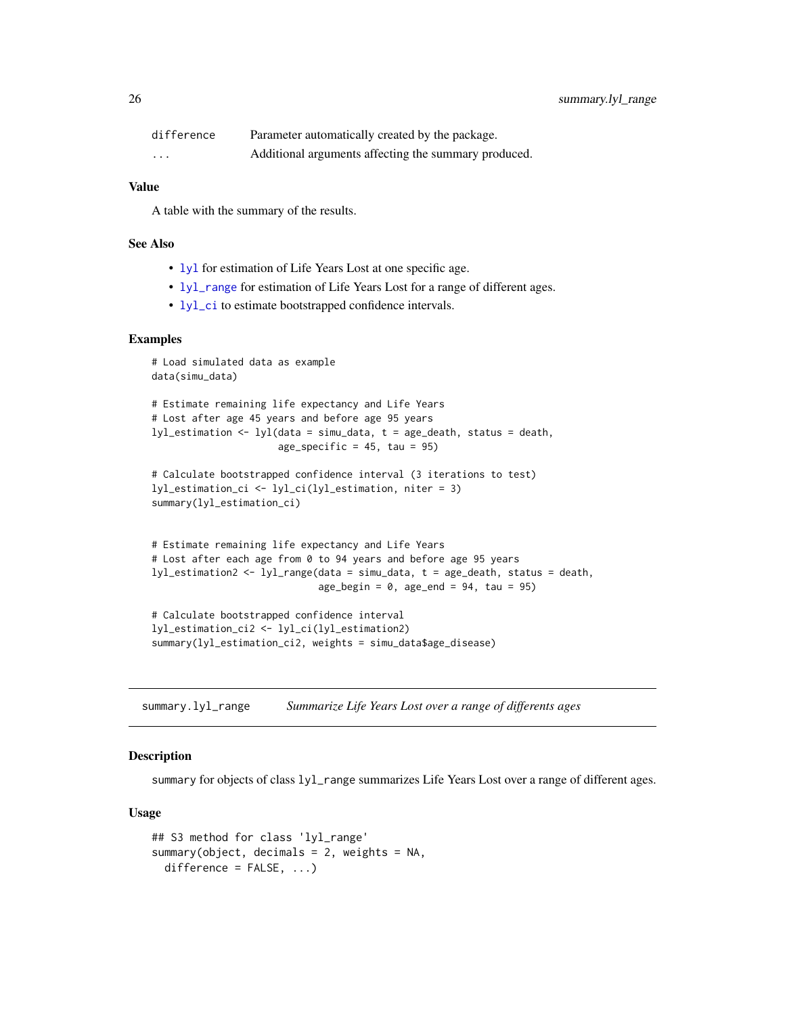<span id="page-25-0"></span>

| difference | Parameter automatically created by the package.      |
|------------|------------------------------------------------------|
| $\cdots$   | Additional arguments affecting the summary produced. |

# Value

A table with the summary of the results.

#### See Also

- [lyl](#page-2-1) for estimation of Life Years Lost at one specific age.
- [lyl\\_range](#page-15-1) for estimation of Life Years Lost for a range of different ages.
- [lyl\\_ci](#page-10-1) to estimate bootstrapped confidence intervals.

# Examples

```
# Load simulated data as example
data(simu_data)
# Estimate remaining life expectancy and Life Years
# Lost after age 45 years and before age 95 years
lyl_estimation <- lyl(data = simu_data, t = age_death, status = death,
                      age_specific = 45, tau = 95)
# Calculate bootstrapped confidence interval (3 iterations to test)
lyl_estimation_ci <- lyl_ci(lyl_estimation, niter = 3)
summary(lyl_estimation_ci)
# Estimate remaining life expectancy and Life Years
# Lost after each age from 0 to 94 years and before age 95 years
lyl_estimation2 <- lyl_range(data = simu_data, t = age_death, status = death,
                             age_begin = 0, age_end = 94, tau = 95)
# Calculate bootstrapped confidence interval
```

```
lyl_estimation_ci2 <- lyl_ci(lyl_estimation2)
summary(lyl_estimation_ci2, weights = simu_data$age_disease)
```
<span id="page-25-1"></span>summary.lyl\_range *Summarize Life Years Lost over a range of differents ages*

#### **Description**

summary for objects of class lyl\_range summarizes Life Years Lost over a range of different ages.

#### Usage

```
## S3 method for class 'lyl_range'
summary(object, decimals = 2, weights = NA,
 difference = FALSE, ...)
```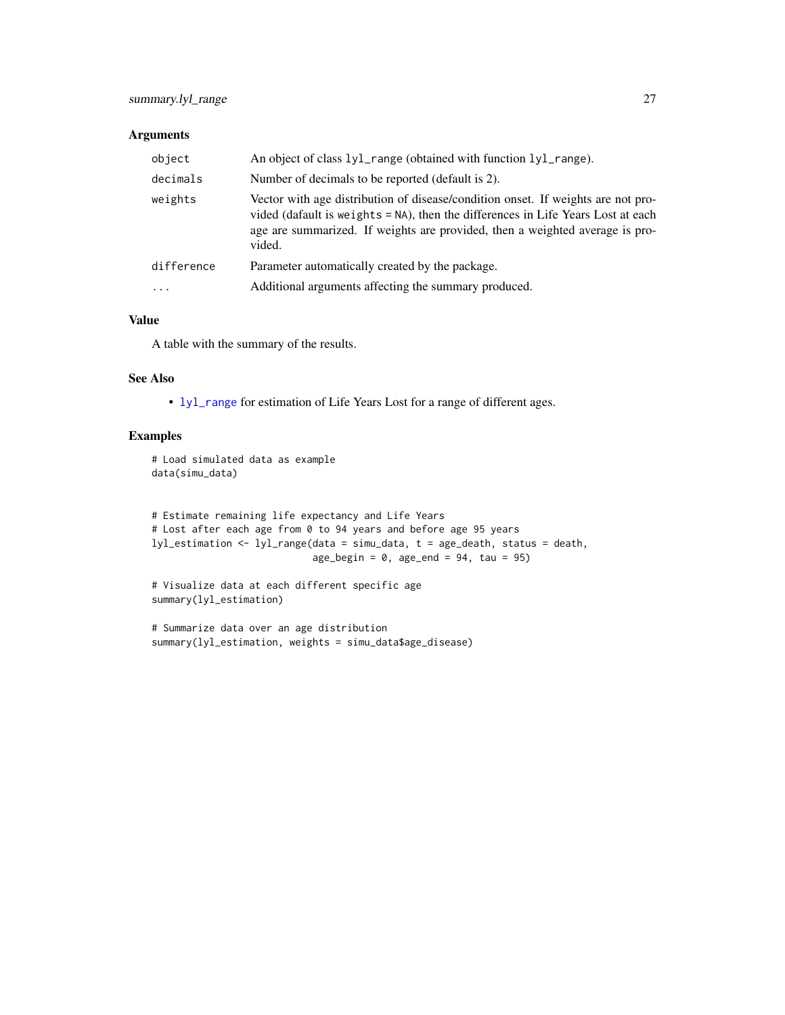# <span id="page-26-0"></span>Arguments

| object     | An object of class 1y1_range (obtained with function 1y1_range).                                                                                                                                                                                               |
|------------|----------------------------------------------------------------------------------------------------------------------------------------------------------------------------------------------------------------------------------------------------------------|
| decimals   | Number of decimals to be reported (default is 2).                                                                                                                                                                                                              |
| weights    | Vector with age distribution of disease/condition onset. If weights are not pro-<br>vided (dafault is weights = NA), then the differences in Life Years Lost at each<br>age are summarized. If weights are provided, then a weighted average is pro-<br>vided. |
| difference | Parameter automatically created by the package.                                                                                                                                                                                                                |
| $\cdots$   | Additional arguments affecting the summary produced.                                                                                                                                                                                                           |

# Value

A table with the summary of the results.

#### See Also

• [lyl\\_range](#page-15-1) for estimation of Life Years Lost for a range of different ages.

```
# Load simulated data as example
data(simu_data)
```

```
# Estimate remaining life expectancy and Life Years
# Lost after each age from 0 to 94 years and before age 95 years
lyl_estimation <- lyl_range(data = simu_data, t = age_death, status = death,
                            age_begin = 0, age_end = 94, tau = 95)
```

```
# Visualize data at each different specific age
summary(lyl_estimation)
```

```
# Summarize data over an age distribution
summary(lyl_estimation, weights = simu_data$age_disease)
```